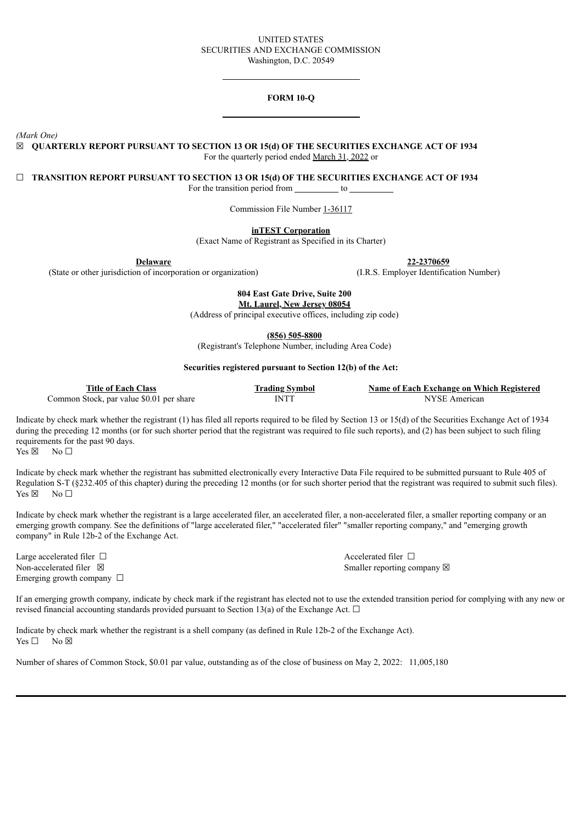## UNITED STATES SECURITIES AND EXCHANGE COMMISSION Washington, D.C. 20549

# **FORM 10-Q**

*(Mark One)*

☒ **QUARTERLY REPORT PURSUANT TO SECTION 13 OR 15(d) OF THE SECURITIES EXCHANGE ACT OF 1934** For the quarterly period ended March 31, 2022 or

☐ **TRANSITION REPORT PURSUANT TO SECTION 13 OR 15(d) OF THE SECURITIES EXCHANGE ACT OF 1934**

For the transition period from to

Commission File Number 1-36117

**inTEST Corporation**

(Exact Name of Registrant as Specified in its Charter)

**Delaware**

(State or other jurisdiction of incorporation or organization)

**804 East Gate Drive, Suite 200**

**Mt. Laurel, New Jersey 08054** (Address of principal executive offices, including zip code)

**(856) 505-8800**

(Registrant's Telephone Number, including Area Code)

#### **Securities registered pursuant to Section 12(b) of the Act:**

| <b>Title of Each Class</b>               | <b>Trading Symbol</b> | Name of Each Exchange on Which Registered |
|------------------------------------------|-----------------------|-------------------------------------------|
| Common Stock, par value \$0.01 per share | INTT                  | NYSE American                             |

Indicate by check mark whether the registrant (1) has filed all reports required to be filed by Section 13 or 15(d) of the Securities Exchange Act of 1934 during the preceding 12 months (or for such shorter period that the registrant was required to file such reports), and (2) has been subject to such filing requirements for the past 90 days.

 $Yes \boxtimes \cong No \square$ 

Indicate by check mark whether the registrant has submitted electronically every Interactive Data File required to be submitted pursuant to Rule 405 of Regulation S-T (§232.405 of this chapter) during the preceding 12 months (or for such shorter period that the registrant was required to submit such files).  $Yes \boxtimes \cong No \square$ 

Indicate by check mark whether the registrant is a large accelerated filer, an accelerated filer, a non-accelerated filer, a smaller reporting company or an emerging growth company. See the definitions of "large accelerated filer," "accelerated filer" "smaller reporting company," and "emerging growth company" in Rule 12b-2 of the Exchange Act.

Large accelerated filer □ accelerated filer □ accelerated filer □ Non-accelerated filer ⊠ Smaller reporting company ⊠ Emerging growth company  $\Box$ 

If an emerging growth company, indicate by check mark if the registrant has elected not to use the extended transition period for complying with any new or revised financial accounting standards provided pursuant to Section 13(a) of the Exchange Act.  $\Box$ 

Indicate by check mark whether the registrant is a shell company (as defined in Rule 12b-2 of the Exchange Act).  $Yes \Box$  No  $\boxtimes$ 

Number of shares of Common Stock, \$0.01 par value, outstanding as of the close of business on May 2, 2022: 11,005,180

**22-2370659**

(I.R.S. Employer Identification Number)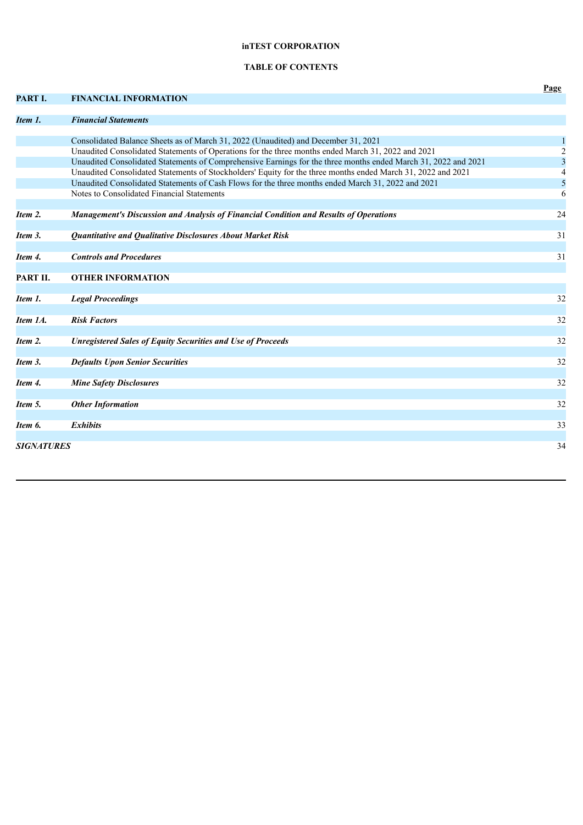# **inTEST CORPORATION**

# **TABLE OF CONTENTS**

|                   |                                                                                                                | Page           |
|-------------------|----------------------------------------------------------------------------------------------------------------|----------------|
| PART I.           | <b>FINANCIAL INFORMATION</b>                                                                                   |                |
| Item 1.           | <b>Financial Statements</b>                                                                                    |                |
|                   |                                                                                                                |                |
|                   | Consolidated Balance Sheets as of March 31, 2022 (Unaudited) and December 31, 2021                             |                |
|                   | Unaudited Consolidated Statements of Operations for the three months ended March 31, 2022 and 2021             | $\sqrt{2}$     |
|                   | Unaudited Consolidated Statements of Comprehensive Earnings for the three months ended March 31, 2022 and 2021 | $\mathfrak{Z}$ |
|                   | Unaudited Consolidated Statements of Stockholders' Equity for the three months ended March 31, 2022 and 2021   | $\overline{4}$ |
|                   | Unaudited Consolidated Statements of Cash Flows for the three months ended March 31, 2022 and 2021             | 5              |
|                   | Notes to Consolidated Financial Statements                                                                     | 6              |
|                   |                                                                                                                |                |
| Item 2.           | <b>Management's Discussion and Analysis of Financial Condition and Results of Operations</b>                   | 24             |
|                   |                                                                                                                |                |
| Item 3.           | Quantitative and Qualitative Disclosures About Market Risk                                                     | 31             |
| Item 4.           | <b>Controls and Procedures</b>                                                                                 | 31             |
|                   |                                                                                                                |                |
| PART II.          | <b>OTHER INFORMATION</b>                                                                                       |                |
| Item 1.           |                                                                                                                | 32             |
|                   | <b>Legal Proceedings</b>                                                                                       |                |
| Item 1A.          | <b>Risk Factors</b>                                                                                            | 32             |
|                   |                                                                                                                |                |
| Item 2.           | <b>Unregistered Sales of Equity Securities and Use of Proceeds</b>                                             | 32             |
|                   |                                                                                                                |                |
| Item 3.           | <b>Defaults Upon Senior Securities</b>                                                                         | 32             |
| Item 4.           | <b>Mine Safety Disclosures</b>                                                                                 | 32             |
|                   |                                                                                                                |                |
| Item 5.           | <b>Other Information</b>                                                                                       | 32             |
|                   |                                                                                                                |                |
| Item 6.           | <b>Exhibits</b>                                                                                                | 33             |
|                   |                                                                                                                |                |
| <b>SIGNATURES</b> |                                                                                                                | 34             |
|                   |                                                                                                                |                |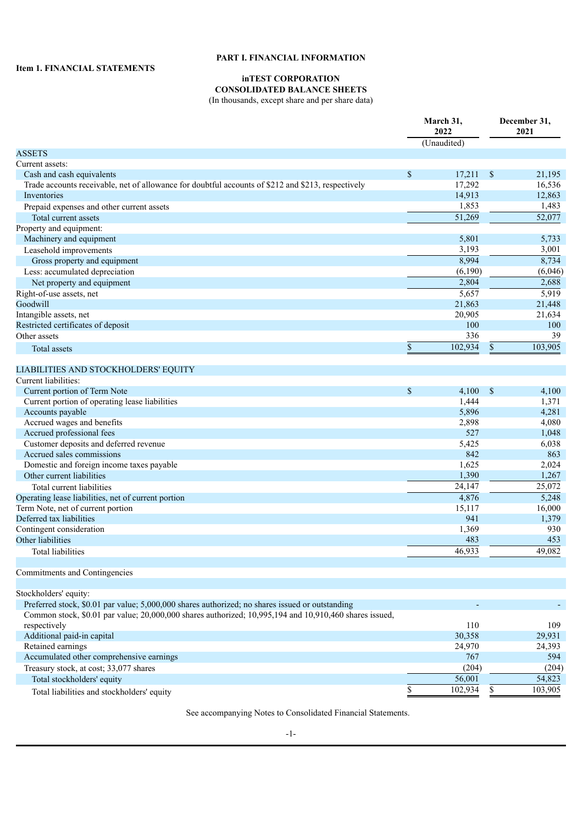# **PART I. FINANCIAL INFORMATION**

# **inTEST CORPORATION**

**CONSOLIDATED BALANCE SHEETS** (In thousands, except share and per share data)

| (Unaudited)<br>Current assets:<br>\$<br>Cash and cash equivalents<br>17,211<br>$\mathcal{S}$<br>21,195<br>17,292<br>Trade accounts receivable, net of allowance for doubtful accounts of \$212 and \$213, respectively<br>16,536<br>14,913<br>12,863<br>Inventories<br>1,853<br>Prepaid expenses and other current assets<br>1,483<br>52,077<br>51,269<br>Total current assets<br>Machinery and equipment<br>5,801<br>5,733<br>3,193<br>3,001<br>Leasehold improvements<br>8,994<br>Gross property and equipment<br>8,734<br>(6,190)<br>Less: accumulated depreciation<br>2,804<br>2,688<br>Net property and equipment<br>5,657<br>5,919<br>21,863<br>21,448<br>20,905<br>21,634<br>100<br>100<br>336<br>39<br>Other assets<br>\$<br>102,934<br>$\boldsymbol{\mathsf{S}}$<br>103,905<br>Total assets<br>LIABILITIES AND STOCKHOLDERS' EQUITY<br>Current liabilities:<br>\$<br>4,100<br>$\mathbb{S}$<br>Current portion of Term Note<br>4,100<br>1,444<br>Current portion of operating lease liabilities<br>1,371<br>Accounts payable<br>5,896<br>4,281<br>Accrued wages and benefits<br>2,898<br>4,080<br>Accrued professional fees<br>527<br>1,048<br>Customer deposits and deferred revenue<br>5,425<br>6,038<br>842<br>Accrued sales commissions<br>863<br>Domestic and foreign income taxes payable<br>1,625<br>2,024<br>1,390<br>1,267<br>Other current liabilities<br>24,147<br>25,072<br>Total current liabilities<br>4,876<br>Operating lease liabilities, net of current portion<br>5,248<br>Term Note, net of current portion<br>15,117<br>16,000<br>Deferred tax liabilities<br>941<br>1,379<br>Contingent consideration<br>930<br>1,369<br>Other liabilities<br>483<br>453<br>49,082<br>46,933<br>Total liabilities<br>Stockholders' equity:<br>Preferred stock, \$0.01 par value; 5,000,000 shares authorized; no shares issued or outstanding<br>Common stock, \$0.01 par value; 20,000,000 shares authorized; 10,995,194 and 10,910,460 shares issued,<br>respectively<br>110<br>109<br>Additional paid-in capital<br>30,358<br>29,931<br>Retained earnings<br>24,970<br>24,393<br>Accumulated other comprehensive earnings<br>767<br>594<br>Treasury stock, at cost; 33,077 shares<br>(204) |                                    | March 31,<br>2022 |  | December 31,<br>2021 |  |
|-------------------------------------------------------------------------------------------------------------------------------------------------------------------------------------------------------------------------------------------------------------------------------------------------------------------------------------------------------------------------------------------------------------------------------------------------------------------------------------------------------------------------------------------------------------------------------------------------------------------------------------------------------------------------------------------------------------------------------------------------------------------------------------------------------------------------------------------------------------------------------------------------------------------------------------------------------------------------------------------------------------------------------------------------------------------------------------------------------------------------------------------------------------------------------------------------------------------------------------------------------------------------------------------------------------------------------------------------------------------------------------------------------------------------------------------------------------------------------------------------------------------------------------------------------------------------------------------------------------------------------------------------------------------------------------------------------------------------------------------------------------------------------------------------------------------------------------------------------------------------------------------------------------------------------------------------------------------------------------------------------------------------------------------------------------------------------------------------------------------------------------------------------------------------------------------------------------|------------------------------------|-------------------|--|----------------------|--|
|                                                                                                                                                                                                                                                                                                                                                                                                                                                                                                                                                                                                                                                                                                                                                                                                                                                                                                                                                                                                                                                                                                                                                                                                                                                                                                                                                                                                                                                                                                                                                                                                                                                                                                                                                                                                                                                                                                                                                                                                                                                                                                                                                                                                             |                                    |                   |  |                      |  |
| (6,046)<br>(204)                                                                                                                                                                                                                                                                                                                                                                                                                                                                                                                                                                                                                                                                                                                                                                                                                                                                                                                                                                                                                                                                                                                                                                                                                                                                                                                                                                                                                                                                                                                                                                                                                                                                                                                                                                                                                                                                                                                                                                                                                                                                                                                                                                                            | <b>ASSETS</b>                      |                   |  |                      |  |
|                                                                                                                                                                                                                                                                                                                                                                                                                                                                                                                                                                                                                                                                                                                                                                                                                                                                                                                                                                                                                                                                                                                                                                                                                                                                                                                                                                                                                                                                                                                                                                                                                                                                                                                                                                                                                                                                                                                                                                                                                                                                                                                                                                                                             |                                    |                   |  |                      |  |
|                                                                                                                                                                                                                                                                                                                                                                                                                                                                                                                                                                                                                                                                                                                                                                                                                                                                                                                                                                                                                                                                                                                                                                                                                                                                                                                                                                                                                                                                                                                                                                                                                                                                                                                                                                                                                                                                                                                                                                                                                                                                                                                                                                                                             |                                    |                   |  |                      |  |
|                                                                                                                                                                                                                                                                                                                                                                                                                                                                                                                                                                                                                                                                                                                                                                                                                                                                                                                                                                                                                                                                                                                                                                                                                                                                                                                                                                                                                                                                                                                                                                                                                                                                                                                                                                                                                                                                                                                                                                                                                                                                                                                                                                                                             |                                    |                   |  |                      |  |
|                                                                                                                                                                                                                                                                                                                                                                                                                                                                                                                                                                                                                                                                                                                                                                                                                                                                                                                                                                                                                                                                                                                                                                                                                                                                                                                                                                                                                                                                                                                                                                                                                                                                                                                                                                                                                                                                                                                                                                                                                                                                                                                                                                                                             |                                    |                   |  |                      |  |
|                                                                                                                                                                                                                                                                                                                                                                                                                                                                                                                                                                                                                                                                                                                                                                                                                                                                                                                                                                                                                                                                                                                                                                                                                                                                                                                                                                                                                                                                                                                                                                                                                                                                                                                                                                                                                                                                                                                                                                                                                                                                                                                                                                                                             |                                    |                   |  |                      |  |
|                                                                                                                                                                                                                                                                                                                                                                                                                                                                                                                                                                                                                                                                                                                                                                                                                                                                                                                                                                                                                                                                                                                                                                                                                                                                                                                                                                                                                                                                                                                                                                                                                                                                                                                                                                                                                                                                                                                                                                                                                                                                                                                                                                                                             |                                    |                   |  |                      |  |
|                                                                                                                                                                                                                                                                                                                                                                                                                                                                                                                                                                                                                                                                                                                                                                                                                                                                                                                                                                                                                                                                                                                                                                                                                                                                                                                                                                                                                                                                                                                                                                                                                                                                                                                                                                                                                                                                                                                                                                                                                                                                                                                                                                                                             | Property and equipment:            |                   |  |                      |  |
|                                                                                                                                                                                                                                                                                                                                                                                                                                                                                                                                                                                                                                                                                                                                                                                                                                                                                                                                                                                                                                                                                                                                                                                                                                                                                                                                                                                                                                                                                                                                                                                                                                                                                                                                                                                                                                                                                                                                                                                                                                                                                                                                                                                                             |                                    |                   |  |                      |  |
|                                                                                                                                                                                                                                                                                                                                                                                                                                                                                                                                                                                                                                                                                                                                                                                                                                                                                                                                                                                                                                                                                                                                                                                                                                                                                                                                                                                                                                                                                                                                                                                                                                                                                                                                                                                                                                                                                                                                                                                                                                                                                                                                                                                                             |                                    |                   |  |                      |  |
|                                                                                                                                                                                                                                                                                                                                                                                                                                                                                                                                                                                                                                                                                                                                                                                                                                                                                                                                                                                                                                                                                                                                                                                                                                                                                                                                                                                                                                                                                                                                                                                                                                                                                                                                                                                                                                                                                                                                                                                                                                                                                                                                                                                                             |                                    |                   |  |                      |  |
|                                                                                                                                                                                                                                                                                                                                                                                                                                                                                                                                                                                                                                                                                                                                                                                                                                                                                                                                                                                                                                                                                                                                                                                                                                                                                                                                                                                                                                                                                                                                                                                                                                                                                                                                                                                                                                                                                                                                                                                                                                                                                                                                                                                                             |                                    |                   |  |                      |  |
|                                                                                                                                                                                                                                                                                                                                                                                                                                                                                                                                                                                                                                                                                                                                                                                                                                                                                                                                                                                                                                                                                                                                                                                                                                                                                                                                                                                                                                                                                                                                                                                                                                                                                                                                                                                                                                                                                                                                                                                                                                                                                                                                                                                                             |                                    |                   |  |                      |  |
|                                                                                                                                                                                                                                                                                                                                                                                                                                                                                                                                                                                                                                                                                                                                                                                                                                                                                                                                                                                                                                                                                                                                                                                                                                                                                                                                                                                                                                                                                                                                                                                                                                                                                                                                                                                                                                                                                                                                                                                                                                                                                                                                                                                                             | Right-of-use assets, net           |                   |  |                      |  |
|                                                                                                                                                                                                                                                                                                                                                                                                                                                                                                                                                                                                                                                                                                                                                                                                                                                                                                                                                                                                                                                                                                                                                                                                                                                                                                                                                                                                                                                                                                                                                                                                                                                                                                                                                                                                                                                                                                                                                                                                                                                                                                                                                                                                             | Goodwill                           |                   |  |                      |  |
|                                                                                                                                                                                                                                                                                                                                                                                                                                                                                                                                                                                                                                                                                                                                                                                                                                                                                                                                                                                                                                                                                                                                                                                                                                                                                                                                                                                                                                                                                                                                                                                                                                                                                                                                                                                                                                                                                                                                                                                                                                                                                                                                                                                                             | Intangible assets, net             |                   |  |                      |  |
|                                                                                                                                                                                                                                                                                                                                                                                                                                                                                                                                                                                                                                                                                                                                                                                                                                                                                                                                                                                                                                                                                                                                                                                                                                                                                                                                                                                                                                                                                                                                                                                                                                                                                                                                                                                                                                                                                                                                                                                                                                                                                                                                                                                                             | Restricted certificates of deposit |                   |  |                      |  |
|                                                                                                                                                                                                                                                                                                                                                                                                                                                                                                                                                                                                                                                                                                                                                                                                                                                                                                                                                                                                                                                                                                                                                                                                                                                                                                                                                                                                                                                                                                                                                                                                                                                                                                                                                                                                                                                                                                                                                                                                                                                                                                                                                                                                             |                                    |                   |  |                      |  |
|                                                                                                                                                                                                                                                                                                                                                                                                                                                                                                                                                                                                                                                                                                                                                                                                                                                                                                                                                                                                                                                                                                                                                                                                                                                                                                                                                                                                                                                                                                                                                                                                                                                                                                                                                                                                                                                                                                                                                                                                                                                                                                                                                                                                             |                                    |                   |  |                      |  |
|                                                                                                                                                                                                                                                                                                                                                                                                                                                                                                                                                                                                                                                                                                                                                                                                                                                                                                                                                                                                                                                                                                                                                                                                                                                                                                                                                                                                                                                                                                                                                                                                                                                                                                                                                                                                                                                                                                                                                                                                                                                                                                                                                                                                             |                                    |                   |  |                      |  |
|                                                                                                                                                                                                                                                                                                                                                                                                                                                                                                                                                                                                                                                                                                                                                                                                                                                                                                                                                                                                                                                                                                                                                                                                                                                                                                                                                                                                                                                                                                                                                                                                                                                                                                                                                                                                                                                                                                                                                                                                                                                                                                                                                                                                             |                                    |                   |  |                      |  |
|                                                                                                                                                                                                                                                                                                                                                                                                                                                                                                                                                                                                                                                                                                                                                                                                                                                                                                                                                                                                                                                                                                                                                                                                                                                                                                                                                                                                                                                                                                                                                                                                                                                                                                                                                                                                                                                                                                                                                                                                                                                                                                                                                                                                             |                                    |                   |  |                      |  |
|                                                                                                                                                                                                                                                                                                                                                                                                                                                                                                                                                                                                                                                                                                                                                                                                                                                                                                                                                                                                                                                                                                                                                                                                                                                                                                                                                                                                                                                                                                                                                                                                                                                                                                                                                                                                                                                                                                                                                                                                                                                                                                                                                                                                             |                                    |                   |  |                      |  |
|                                                                                                                                                                                                                                                                                                                                                                                                                                                                                                                                                                                                                                                                                                                                                                                                                                                                                                                                                                                                                                                                                                                                                                                                                                                                                                                                                                                                                                                                                                                                                                                                                                                                                                                                                                                                                                                                                                                                                                                                                                                                                                                                                                                                             |                                    |                   |  |                      |  |
|                                                                                                                                                                                                                                                                                                                                                                                                                                                                                                                                                                                                                                                                                                                                                                                                                                                                                                                                                                                                                                                                                                                                                                                                                                                                                                                                                                                                                                                                                                                                                                                                                                                                                                                                                                                                                                                                                                                                                                                                                                                                                                                                                                                                             |                                    |                   |  |                      |  |
|                                                                                                                                                                                                                                                                                                                                                                                                                                                                                                                                                                                                                                                                                                                                                                                                                                                                                                                                                                                                                                                                                                                                                                                                                                                                                                                                                                                                                                                                                                                                                                                                                                                                                                                                                                                                                                                                                                                                                                                                                                                                                                                                                                                                             |                                    |                   |  |                      |  |
|                                                                                                                                                                                                                                                                                                                                                                                                                                                                                                                                                                                                                                                                                                                                                                                                                                                                                                                                                                                                                                                                                                                                                                                                                                                                                                                                                                                                                                                                                                                                                                                                                                                                                                                                                                                                                                                                                                                                                                                                                                                                                                                                                                                                             |                                    |                   |  |                      |  |
|                                                                                                                                                                                                                                                                                                                                                                                                                                                                                                                                                                                                                                                                                                                                                                                                                                                                                                                                                                                                                                                                                                                                                                                                                                                                                                                                                                                                                                                                                                                                                                                                                                                                                                                                                                                                                                                                                                                                                                                                                                                                                                                                                                                                             |                                    |                   |  |                      |  |
|                                                                                                                                                                                                                                                                                                                                                                                                                                                                                                                                                                                                                                                                                                                                                                                                                                                                                                                                                                                                                                                                                                                                                                                                                                                                                                                                                                                                                                                                                                                                                                                                                                                                                                                                                                                                                                                                                                                                                                                                                                                                                                                                                                                                             |                                    |                   |  |                      |  |
|                                                                                                                                                                                                                                                                                                                                                                                                                                                                                                                                                                                                                                                                                                                                                                                                                                                                                                                                                                                                                                                                                                                                                                                                                                                                                                                                                                                                                                                                                                                                                                                                                                                                                                                                                                                                                                                                                                                                                                                                                                                                                                                                                                                                             |                                    |                   |  |                      |  |
|                                                                                                                                                                                                                                                                                                                                                                                                                                                                                                                                                                                                                                                                                                                                                                                                                                                                                                                                                                                                                                                                                                                                                                                                                                                                                                                                                                                                                                                                                                                                                                                                                                                                                                                                                                                                                                                                                                                                                                                                                                                                                                                                                                                                             |                                    |                   |  |                      |  |
|                                                                                                                                                                                                                                                                                                                                                                                                                                                                                                                                                                                                                                                                                                                                                                                                                                                                                                                                                                                                                                                                                                                                                                                                                                                                                                                                                                                                                                                                                                                                                                                                                                                                                                                                                                                                                                                                                                                                                                                                                                                                                                                                                                                                             |                                    |                   |  |                      |  |
|                                                                                                                                                                                                                                                                                                                                                                                                                                                                                                                                                                                                                                                                                                                                                                                                                                                                                                                                                                                                                                                                                                                                                                                                                                                                                                                                                                                                                                                                                                                                                                                                                                                                                                                                                                                                                                                                                                                                                                                                                                                                                                                                                                                                             |                                    |                   |  |                      |  |
|                                                                                                                                                                                                                                                                                                                                                                                                                                                                                                                                                                                                                                                                                                                                                                                                                                                                                                                                                                                                                                                                                                                                                                                                                                                                                                                                                                                                                                                                                                                                                                                                                                                                                                                                                                                                                                                                                                                                                                                                                                                                                                                                                                                                             |                                    |                   |  |                      |  |
|                                                                                                                                                                                                                                                                                                                                                                                                                                                                                                                                                                                                                                                                                                                                                                                                                                                                                                                                                                                                                                                                                                                                                                                                                                                                                                                                                                                                                                                                                                                                                                                                                                                                                                                                                                                                                                                                                                                                                                                                                                                                                                                                                                                                             |                                    |                   |  |                      |  |
|                                                                                                                                                                                                                                                                                                                                                                                                                                                                                                                                                                                                                                                                                                                                                                                                                                                                                                                                                                                                                                                                                                                                                                                                                                                                                                                                                                                                                                                                                                                                                                                                                                                                                                                                                                                                                                                                                                                                                                                                                                                                                                                                                                                                             |                                    |                   |  |                      |  |
|                                                                                                                                                                                                                                                                                                                                                                                                                                                                                                                                                                                                                                                                                                                                                                                                                                                                                                                                                                                                                                                                                                                                                                                                                                                                                                                                                                                                                                                                                                                                                                                                                                                                                                                                                                                                                                                                                                                                                                                                                                                                                                                                                                                                             |                                    |                   |  |                      |  |
|                                                                                                                                                                                                                                                                                                                                                                                                                                                                                                                                                                                                                                                                                                                                                                                                                                                                                                                                                                                                                                                                                                                                                                                                                                                                                                                                                                                                                                                                                                                                                                                                                                                                                                                                                                                                                                                                                                                                                                                                                                                                                                                                                                                                             | Commitments and Contingencies      |                   |  |                      |  |
|                                                                                                                                                                                                                                                                                                                                                                                                                                                                                                                                                                                                                                                                                                                                                                                                                                                                                                                                                                                                                                                                                                                                                                                                                                                                                                                                                                                                                                                                                                                                                                                                                                                                                                                                                                                                                                                                                                                                                                                                                                                                                                                                                                                                             |                                    |                   |  |                      |  |
|                                                                                                                                                                                                                                                                                                                                                                                                                                                                                                                                                                                                                                                                                                                                                                                                                                                                                                                                                                                                                                                                                                                                                                                                                                                                                                                                                                                                                                                                                                                                                                                                                                                                                                                                                                                                                                                                                                                                                                                                                                                                                                                                                                                                             |                                    |                   |  |                      |  |
|                                                                                                                                                                                                                                                                                                                                                                                                                                                                                                                                                                                                                                                                                                                                                                                                                                                                                                                                                                                                                                                                                                                                                                                                                                                                                                                                                                                                                                                                                                                                                                                                                                                                                                                                                                                                                                                                                                                                                                                                                                                                                                                                                                                                             |                                    |                   |  |                      |  |
|                                                                                                                                                                                                                                                                                                                                                                                                                                                                                                                                                                                                                                                                                                                                                                                                                                                                                                                                                                                                                                                                                                                                                                                                                                                                                                                                                                                                                                                                                                                                                                                                                                                                                                                                                                                                                                                                                                                                                                                                                                                                                                                                                                                                             |                                    |                   |  |                      |  |
|                                                                                                                                                                                                                                                                                                                                                                                                                                                                                                                                                                                                                                                                                                                                                                                                                                                                                                                                                                                                                                                                                                                                                                                                                                                                                                                                                                                                                                                                                                                                                                                                                                                                                                                                                                                                                                                                                                                                                                                                                                                                                                                                                                                                             |                                    |                   |  |                      |  |
|                                                                                                                                                                                                                                                                                                                                                                                                                                                                                                                                                                                                                                                                                                                                                                                                                                                                                                                                                                                                                                                                                                                                                                                                                                                                                                                                                                                                                                                                                                                                                                                                                                                                                                                                                                                                                                                                                                                                                                                                                                                                                                                                                                                                             |                                    |                   |  |                      |  |
|                                                                                                                                                                                                                                                                                                                                                                                                                                                                                                                                                                                                                                                                                                                                                                                                                                                                                                                                                                                                                                                                                                                                                                                                                                                                                                                                                                                                                                                                                                                                                                                                                                                                                                                                                                                                                                                                                                                                                                                                                                                                                                                                                                                                             |                                    |                   |  |                      |  |
|                                                                                                                                                                                                                                                                                                                                                                                                                                                                                                                                                                                                                                                                                                                                                                                                                                                                                                                                                                                                                                                                                                                                                                                                                                                                                                                                                                                                                                                                                                                                                                                                                                                                                                                                                                                                                                                                                                                                                                                                                                                                                                                                                                                                             |                                    |                   |  |                      |  |
|                                                                                                                                                                                                                                                                                                                                                                                                                                                                                                                                                                                                                                                                                                                                                                                                                                                                                                                                                                                                                                                                                                                                                                                                                                                                                                                                                                                                                                                                                                                                                                                                                                                                                                                                                                                                                                                                                                                                                                                                                                                                                                                                                                                                             | Total stockholders' equity         | 56,001            |  | 54,823               |  |
| 102,934<br>\$<br>103,905<br>\$<br>Total liabilities and stockholders' equity                                                                                                                                                                                                                                                                                                                                                                                                                                                                                                                                                                                                                                                                                                                                                                                                                                                                                                                                                                                                                                                                                                                                                                                                                                                                                                                                                                                                                                                                                                                                                                                                                                                                                                                                                                                                                                                                                                                                                                                                                                                                                                                                |                                    |                   |  |                      |  |

See accompanying Notes to Consolidated Financial Statements.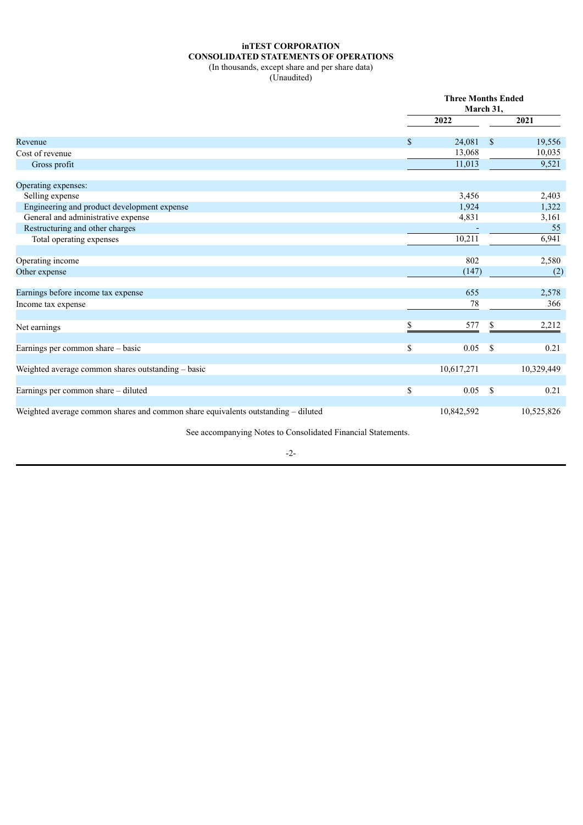# **inTEST CORPORATION CONSOLIDATED STATEMENTS OF OPERATIONS**

(In thousands, except share and per share data) (Unaudited)

|                                                                                   |    | <b>Three Months Ended</b><br>March 31, |              |            |  |
|-----------------------------------------------------------------------------------|----|----------------------------------------|--------------|------------|--|
|                                                                                   |    | 2022                                   |              | 2021       |  |
| Revenue                                                                           | -S | 24,081                                 | $\mathbb{S}$ | 19,556     |  |
| Cost of revenue                                                                   |    | 13,068                                 |              | 10,035     |  |
| Gross profit                                                                      |    | 11,013                                 |              | 9,521      |  |
| Operating expenses:                                                               |    |                                        |              |            |  |
| Selling expense                                                                   |    | 3,456                                  |              | 2,403      |  |
| Engineering and product development expense                                       |    | 1,924                                  |              | 1,322      |  |
| General and administrative expense                                                |    | 4,831                                  |              | 3,161      |  |
| Restructuring and other charges                                                   |    |                                        |              | 55         |  |
| Total operating expenses                                                          |    | 10,211                                 |              | 6,941      |  |
| Operating income                                                                  |    | 802                                    |              | 2,580      |  |
| Other expense                                                                     |    | (147)                                  |              | (2)        |  |
| Earnings before income tax expense                                                |    | 655                                    |              | 2,578      |  |
| Income tax expense                                                                |    | 78                                     |              | 366        |  |
| Net earnings                                                                      |    | 577                                    | S            | 2,212      |  |
| Earnings per common share - basic                                                 | \$ | 0.05                                   | \$           | 0.21       |  |
| Weighted average common shares outstanding - basic                                |    | 10,617,271                             |              | 10,329,449 |  |
| Earnings per common share - diluted                                               | \$ | 0.05                                   | \$           | 0.21       |  |
| Weighted average common shares and common share equivalents outstanding - diluted |    | 10,842,592                             |              | 10,525,826 |  |

See accompanying Notes to Consolidated Financial Statements.

-2-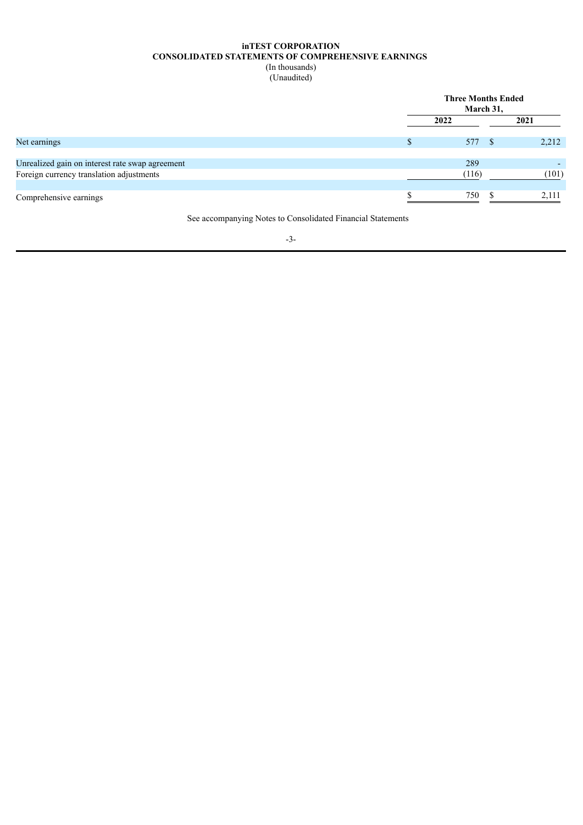### **inTEST CORPORATION CONSOLIDATED STATEMENTS OF COMPREHENSIVE EARNINGS** (In thousands)

(Unaudited)

|                                                 | <b>Three Months Ended</b><br>March 31, |       |  |  |
|-------------------------------------------------|----------------------------------------|-------|--|--|
|                                                 | 2022                                   | 2021  |  |  |
| Net earnings                                    | 577                                    | 2,212 |  |  |
| Unrealized gain on interest rate swap agreement | 289                                    |       |  |  |
| Foreign currency translation adjustments        | (116)                                  | (101) |  |  |
| Comprehensive earnings                          | 750                                    | 2.111 |  |  |

See accompanying Notes to Consolidated Financial Statements

-3-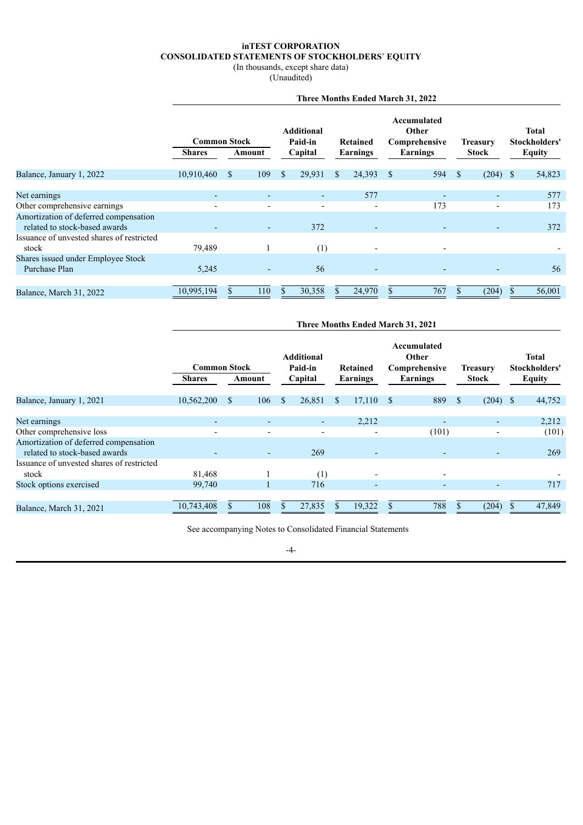#### **inTEST CORPORATION CONSOLIDATED STATEMENTS OF STOCKHOLDERS**' **EQUITY**

(In thousands, except share data)

(Unaudited)

|                                                                        | Three Months Ended March 31, 2022 |                      |                          |                                          |    |                                       |               |                 |               |                               |               |
|------------------------------------------------------------------------|-----------------------------------|----------------------|--------------------------|------------------------------------------|----|---------------------------------------|---------------|-----------------|---------------|-------------------------------|---------------|
|                                                                        | <b>Common Stock</b>               |                      |                          | <b>Additional</b><br>Paid-in<br>Retained |    | Accumulated<br>Other<br>Comprehensive |               | <b>Treasury</b> |               | <b>Total</b><br>Stockholders' |               |
|                                                                        | <b>Shares</b>                     | Amount               |                          | Capital                                  |    | Earnings                              |               | Earnings        |               | Stock                         | <b>Equity</b> |
| Balance, January 1, 2022                                               | 10,910,460                        | 109<br><sup>\$</sup> |                          | 29,931<br>$\mathbb{S}$                   | S. | 24,393                                | <sup>\$</sup> | 594             | <sup>\$</sup> | $(204)$ \$                    | 54,823        |
| Net earnings                                                           |                                   |                      | $\overline{\phantom{0}}$ | ٠                                        |    | 577                                   |               |                 |               |                               | 577           |
| Other comprehensive earnings                                           |                                   |                      |                          | $\overline{\phantom{0}}$                 |    |                                       |               | 173             |               |                               | 173           |
| Amortization of deferred compensation<br>related to stock-based awards |                                   |                      | ٠                        | 372                                      |    | ٠                                     |               |                 |               |                               | 372           |
| Issuance of unvested shares of restricted<br>stock                     | 79,489                            |                      |                          | (1)                                      |    |                                       |               |                 |               |                               |               |
| Shares issued under Employee Stock<br>Purchase Plan                    | 5,245                             |                      | $\overline{\phantom{0}}$ | 56                                       |    | ٠                                     |               |                 |               |                               | 56            |
|                                                                        |                                   |                      |                          |                                          |    |                                       |               |                 |               |                               |               |
| Balance, March 31, 2022                                                | 10,995,194                        | 110                  |                          | 30,358<br>\$                             |    | 24,970                                |               | 767             |               | (204)                         | 56,001        |

|                                                                        | Three Months Ended March 31, 2021 |               |                          |               |                              |      |                          |  |                                       |              |                 |  |                        |
|------------------------------------------------------------------------|-----------------------------------|---------------|--------------------------|---------------|------------------------------|------|--------------------------|--|---------------------------------------|--------------|-----------------|--|------------------------|
|                                                                        | <b>Common Stock</b>               |               |                          |               | <b>Additional</b><br>Paid-in |      | Retained                 |  | Accumulated<br>Other<br>Comprehensive |              | <b>Treasury</b> |  | Total<br>Stockholders' |
|                                                                        | <b>Shares</b>                     | Amount        |                          |               | Capital                      |      | Earnings                 |  | <b>Earnings</b>                       |              | <b>Stock</b>    |  | <b>Equity</b>          |
| Balance, January 1, 2021                                               | 10,562,200                        | <sup>\$</sup> | 106                      | <sup>\$</sup> | 26,851                       | - \$ | $17,110$ \$              |  | 889                                   | <sup>S</sup> | $(204)$ \$      |  | 44,752                 |
| Net earnings                                                           | ٠                                 |               | $\overline{\phantom{0}}$ |               | ۰.                           |      | 2,212                    |  | ٠                                     |              | ٠               |  | 2,212                  |
| Other comprehensive loss                                               |                                   |               | $\qquad \qquad$          |               |                              |      |                          |  | (101)                                 |              |                 |  | (101)                  |
| Amortization of deferred compensation<br>related to stock-based awards |                                   |               | $\overline{\phantom{a}}$ |               | 269                          |      |                          |  | $\overline{\phantom{a}}$              |              |                 |  | 269                    |
| Issuance of unvested shares of restricted<br>stock                     | 81,468                            |               |                          |               | (1)                          |      | $\overline{\phantom{0}}$ |  | $\overline{\phantom{a}}$              |              |                 |  |                        |
| Stock options exercised                                                | 99,740                            |               |                          |               | 716                          |      |                          |  |                                       |              |                 |  | 717                    |
| Balance, March 31, 2021                                                | 10,743,408                        |               | 108                      | \$            | 27,835                       |      | 19,322                   |  | 788                                   |              | (204)           |  | 47,849                 |

See accompanying Notes to Consolidated Financial Statements

-4-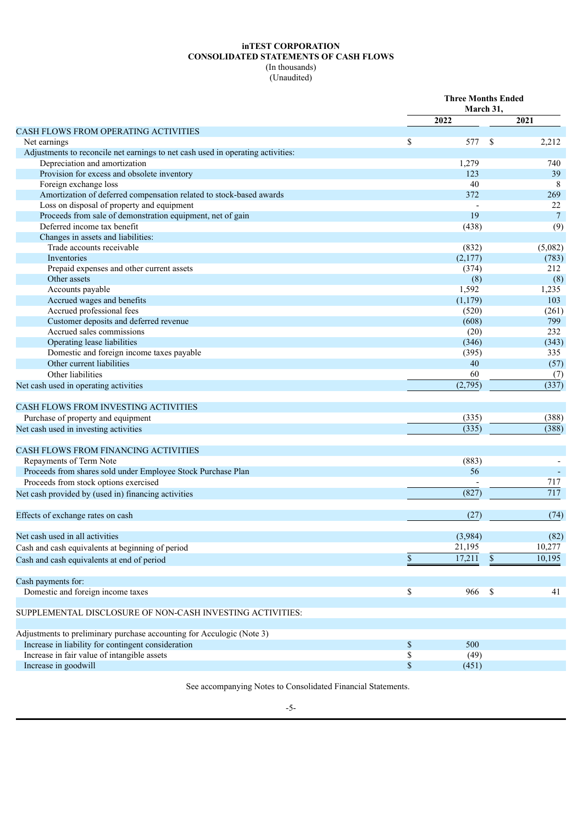# **inTEST CORPORATION CONSOLIDATED STATEMENTS OF CASH FLOWS** (In thousands)

(Unaudited)

|                                                                                 | <b>Three Months Ended</b><br>March 31, |          |               |                |
|---------------------------------------------------------------------------------|----------------------------------------|----------|---------------|----------------|
|                                                                                 |                                        | 2022     |               | 2021           |
| <b>CASH FLOWS FROM OPERATING ACTIVITIES</b>                                     |                                        |          |               |                |
| Net earnings                                                                    | \$                                     | 577      | <sup>\$</sup> | 2,212          |
| Adjustments to reconcile net earnings to net cash used in operating activities: |                                        |          |               |                |
| Depreciation and amortization                                                   |                                        | 1,279    |               | 740            |
| Provision for excess and obsolete inventory                                     |                                        | 123      |               | 39             |
| Foreign exchange loss                                                           |                                        | 40       |               | 8              |
| Amortization of deferred compensation related to stock-based awards             |                                        | 372      |               | 269            |
| Loss on disposal of property and equipment                                      |                                        |          |               | 22             |
| Proceeds from sale of demonstration equipment, net of gain                      |                                        | 19       |               | $\overline{7}$ |
| Deferred income tax benefit                                                     |                                        | (438)    |               | (9)            |
| Changes in assets and liabilities:                                              |                                        |          |               |                |
| Trade accounts receivable                                                       |                                        | (832)    |               | (5,082)        |
| Inventories                                                                     |                                        | (2,177)  |               | (783)          |
| Prepaid expenses and other current assets                                       |                                        | (374)    |               | 212            |
| Other assets                                                                    |                                        | (8)      |               | (8)            |
| Accounts payable                                                                |                                        | 1,592    |               | 1,235          |
| Accrued wages and benefits                                                      |                                        | (1, 179) |               | 103            |
| Accrued professional fees                                                       |                                        | (520)    |               | (261)          |
| Customer deposits and deferred revenue                                          |                                        | (608)    |               | 799            |
| Accrued sales commissions                                                       |                                        | (20)     |               | 232            |
| Operating lease liabilities                                                     |                                        | (346)    |               | (343)          |
| Domestic and foreign income taxes payable                                       |                                        | (395)    |               | 335            |
| Other current liabilities                                                       |                                        | 40       |               | (57)           |
| Other liabilities                                                               |                                        | 60       |               | (7)            |
| Net cash used in operating activities                                           |                                        | (2,795)  |               | (337)          |
| <b>CASH FLOWS FROM INVESTING ACTIVITIES</b>                                     |                                        |          |               |                |
| Purchase of property and equipment                                              |                                        | (335)    |               | (388)          |
| Net cash used in investing activities                                           |                                        | (335)    |               | (388)          |
|                                                                                 |                                        |          |               |                |
| <b>CASH FLOWS FROM FINANCING ACTIVITIES</b>                                     |                                        |          |               |                |
| Repayments of Term Note                                                         |                                        | (883)    |               |                |
| Proceeds from shares sold under Employee Stock Purchase Plan                    |                                        | 56       |               |                |
| Proceeds from stock options exercised                                           |                                        |          |               | 717            |
| Net cash provided by (used in) financing activities                             |                                        | (827)    |               | 717            |
|                                                                                 |                                        |          |               |                |
| Effects of exchange rates on cash                                               |                                        | (27)     |               | (74)           |
| Net cash used in all activities                                                 |                                        | (3,984)  |               | (82)           |
| Cash and cash equivalents at beginning of period                                |                                        | 21,195   |               | 10,277         |
| Cash and cash equivalents at end of period                                      | $\mathbb S$                            | 17,211   | \$            | 10,195         |
|                                                                                 |                                        |          |               |                |
| Cash payments for:                                                              |                                        |          |               |                |
| Domestic and foreign income taxes                                               | \$                                     | 966      | $\mathbb{S}$  | 41             |
| SUPPLEMENTAL DISCLOSURE OF NON-CASH INVESTING ACTIVITIES:                       |                                        |          |               |                |
| Adjustments to preliminary purchase accounting for Acculogic (Note 3)           |                                        |          |               |                |
| Increase in liability for contingent consideration                              | $\$$                                   | 500      |               |                |
| Increase in fair value of intangible assets                                     | $\mathbb{S}$                           | (49)     |               |                |
| Increase in goodwill                                                            | \$                                     | (451)    |               |                |

See accompanying Notes to Consolidated Financial Statements.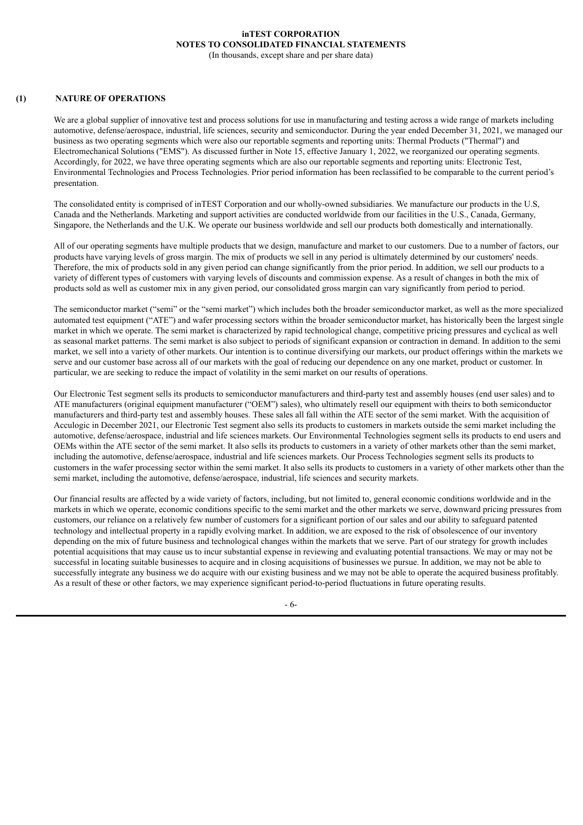# **inTEST CORPORATION NOTES TO CONSOLIDATED FINANCIAL STATEMENTS**

(In thousands, except share and per share data)

### **(1) NATURE OF OPERATIONS**

We are a global supplier of innovative test and process solutions for use in manufacturing and testing across a wide range of markets including automotive, defense/aerospace, industrial, life sciences, security and semiconductor. During the year ended December 31, 2021, we managed our business as two operating segments which were also our reportable segments and reporting units: Thermal Products ("Thermal") and Electromechanical Solutions ("EMS"). As discussed further in Note 15, effective January 1, 2022, we reorganized our operating segments. Accordingly, for 2022, we have three operating segments which are also our reportable segments and reporting units: Electronic Test, Environmental Technologies and Process Technologies. Prior period information has been reclassified to be comparable to the current period's presentation.

The consolidated entity is comprised of inTEST Corporation and our wholly-owned subsidiaries. We manufacture our products in the U.S, Canada and the Netherlands. Marketing and support activities are conducted worldwide from our facilities in the U.S., Canada, Germany, Singapore, the Netherlands and the U.K. We operate our business worldwide and sell our products both domestically and internationally.

All of our operating segments have multiple products that we design, manufacture and market to our customers. Due to a number of factors, our products have varying levels of gross margin. The mix of products we sell in any period is ultimately determined by our customers' needs. Therefore, the mix of products sold in any given period can change significantly from the prior period. In addition, we sell our products to a variety of different types of customers with varying levels of discounts and commission expense. As a result of changes in both the mix of products sold as well as customer mix in any given period, our consolidated gross margin can vary significantly from period to period.

The semiconductor market ("semi" or the "semi market") which includes both the broader semiconductor market, as well as the more specialized automated test equipment ("ATE") and wafer processing sectors within the broader semiconductor market, has historically been the largest single market in which we operate. The semi market is characterized by rapid technological change, competitive pricing pressures and cyclical as well as seasonal market patterns. The semi market is also subject to periods of significant expansion or contraction in demand. In addition to the semi market, we sell into a variety of other markets. Our intention is to continue diversifying our markets, our product offerings within the markets we serve and our customer base across all of our markets with the goal of reducing our dependence on any one market, product or customer. In particular, we are seeking to reduce the impact of volatility in the semi market on our results of operations.

Our Electronic Test segment sells its products to semiconductor manufacturers and third-party test and assembly houses (end user sales) and to ATE manufacturers (original equipment manufacturer ("OEM") sales), who ultimately resell our equipment with theirs to both semiconductor manufacturers and third-party test and assembly houses. These sales all fall within the ATE sector of the semi market. With the acquisition of Acculogic in December 2021, our Electronic Test segment also sells its products to customers in markets outside the semi market including the automotive, defense/aerospace, industrial and life sciences markets. Our Environmental Technologies segment sells its products to end users and OEMs within the ATE sector of the semi market. It also sells its products to customers in a variety of other markets other than the semi market, including the automotive, defense/aerospace, industrial and life sciences markets. Our Process Technologies segment sells its products to customers in the wafer processing sector within the semi market. It also sells its products to customers in a variety of other markets other than the semi market, including the automotive, defense/aerospace, industrial, life sciences and security markets.

Our financial results are affected by a wide variety of factors, including, but not limited to, general economic conditions worldwide and in the markets in which we operate, economic conditions specific to the semi market and the other markets we serve, downward pricing pressures from customers, our reliance on a relatively few number of customers for a significant portion of our sales and our ability to safeguard patented technology and intellectual property in a rapidly evolving market. In addition, we are exposed to the risk of obsolescence of our inventory depending on the mix of future business and technological changes within the markets that we serve. Part of our strategy for growth includes potential acquisitions that may cause us to incur substantial expense in reviewing and evaluating potential transactions. We may or may not be successful in locating suitable businesses to acquire and in closing acquisitions of businesses we pursue. In addition, we may not be able to successfully integrate any business we do acquire with our existing business and we may not be able to operate the acquired business profitably. As a result of these or other factors, we may experience significant period-to-period fluctuations in future operating results.

- 6-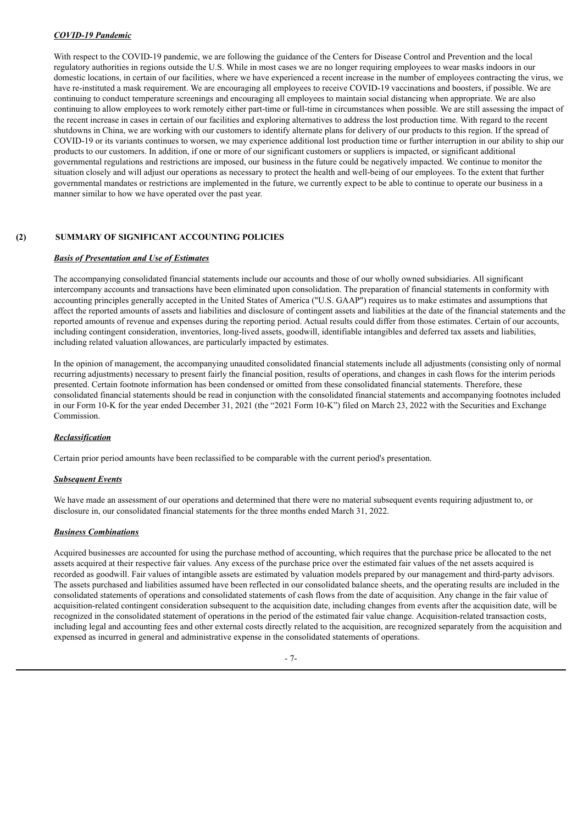# *COVID-19 Pandemic*

With respect to the COVID-19 pandemic, we are following the guidance of the Centers for Disease Control and Prevention and the local regulatory authorities in regions outside the U.S. While in most cases we are no longer requiring employees to wear masks indoors in our domestic locations, in certain of our facilities, where we have experienced a recent increase in the number of employees contracting the virus, we have re-instituted a mask requirement. We are encouraging all employees to receive COVID-19 vaccinations and boosters, if possible. We are continuing to conduct temperature screenings and encouraging all employees to maintain social distancing when appropriate. We are also continuing to allow employees to work remotely either part-time or full-time in circumstances when possible. We are still assessing the impact of the recent increase in cases in certain of our facilities and exploring alternatives to address the lost production time. With regard to the recent shutdowns in China, we are working with our customers to identify alternate plans for delivery of our products to this region. If the spread of COVID-19 or its variants continues to worsen, we may experience additional lost production time or further interruption in our ability to ship our products to our customers. In addition, if one or more of our significant customers or suppliers is impacted, or significant additional governmental regulations and restrictions are imposed, our business in the future could be negatively impacted. We continue to monitor the situation closely and will adjust our operations as necessary to protect the health and well-being of our employees. To the extent that further governmental mandates or restrictions are implemented in the future, we currently expect to be able to continue to operate our business in a manner similar to how we have operated over the past year.

# **(2) SUMMARY OF SIGNIFICANT ACCOUNTING POLICIES**

#### *Basis of Presentation and Use of Estimates*

The accompanying consolidated financial statements include our accounts and those of our wholly owned subsidiaries. All significant intercompany accounts and transactions have been eliminated upon consolidation. The preparation of financial statements in conformity with accounting principles generally accepted in the United States of America ("U.S. GAAP") requires us to make estimates and assumptions that affect the reported amounts of assets and liabilities and disclosure of contingent assets and liabilities at the date of the financial statements and the reported amounts of revenue and expenses during the reporting period. Actual results could differ from those estimates. Certain of our accounts, including contingent consideration, inventories, long-lived assets, goodwill, identifiable intangibles and deferred tax assets and liabilities, including related valuation allowances, are particularly impacted by estimates.

In the opinion of management, the accompanying unaudited consolidated financial statements include all adjustments (consisting only of normal recurring adjustments) necessary to present fairly the financial position, results of operations, and changes in cash flows for the interim periods presented. Certain footnote information has been condensed or omitted from these consolidated financial statements. Therefore, these consolidated financial statements should be read in conjunction with the consolidated financial statements and accompanying footnotes included in our Form 10-K for the year ended December 31, 2021 (the "2021 Form 10-K") filed on March 23, 2022 with the Securities and Exchange Commission.

## *Reclassification*

Certain prior period amounts have been reclassified to be comparable with the current period's presentation.

## *Subsequent Events*

We have made an assessment of our operations and determined that there were no material subsequent events requiring adjustment to, or disclosure in, our consolidated financial statements for the three months ended March 31, 2022.

## *Business Combinations*

Acquired businesses are accounted for using the purchase method of accounting, which requires that the purchase price be allocated to the net assets acquired at their respective fair values. Any excess of the purchase price over the estimated fair values of the net assets acquired is recorded as goodwill. Fair values of intangible assets are estimated by valuation models prepared by our management and third-party advisors. The assets purchased and liabilities assumed have been reflected in our consolidated balance sheets, and the operating results are included in the consolidated statements of operations and consolidated statements of cash flows from the date of acquisition. Any change in the fair value of acquisition-related contingent consideration subsequent to the acquisition date, including changes from events after the acquisition date, will be recognized in the consolidated statement of operations in the period of the estimated fair value change. Acquisition-related transaction costs, including legal and accounting fees and other external costs directly related to the acquisition, are recognized separately from the acquisition and expensed as incurred in general and administrative expense in the consolidated statements of operations.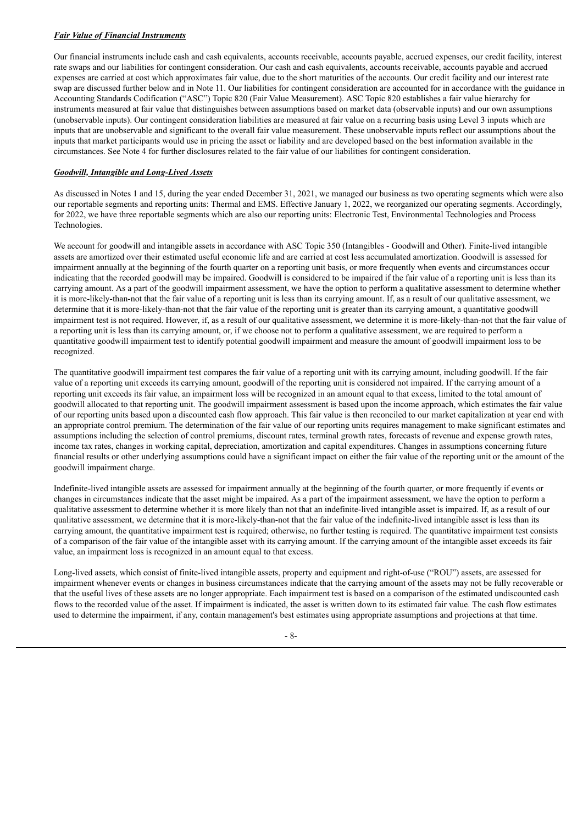# *Fair Value of Financial Instruments*

Our financial instruments include cash and cash equivalents, accounts receivable, accounts payable, accrued expenses, our credit facility, interest rate swaps and our liabilities for contingent consideration. Our cash and cash equivalents, accounts receivable, accounts payable and accrued expenses are carried at cost which approximates fair value, due to the short maturities of the accounts. Our credit facility and our interest rate swap are discussed further below and in Note 11. Our liabilities for contingent consideration are accounted for in accordance with the guidance in Accounting Standards Codification ("ASC") Topic 820 (Fair Value Measurement). ASC Topic 820 establishes a fair value hierarchy for instruments measured at fair value that distinguishes between assumptions based on market data (observable inputs) and our own assumptions (unobservable inputs). Our contingent consideration liabilities are measured at fair value on a recurring basis using Level 3 inputs which are inputs that are unobservable and significant to the overall fair value measurement. These unobservable inputs reflect our assumptions about the inputs that market participants would use in pricing the asset or liability and are developed based on the best information available in the circumstances. See Note 4 for further disclosures related to the fair value of our liabilities for contingent consideration.

# *Goodwill, Intangible and Long-Lived Assets*

As discussed in Notes 1 and 15, during the year ended December 31, 2021, we managed our business as two operating segments which were also our reportable segments and reporting units: Thermal and EMS. Effective January 1, 2022, we reorganized our operating segments. Accordingly, for 2022, we have three reportable segments which are also our reporting units: Electronic Test, Environmental Technologies and Process Technologies.

We account for goodwill and intangible assets in accordance with ASC Topic 350 (Intangibles - Goodwill and Other). Finite-lived intangible assets are amortized over their estimated useful economic life and are carried at cost less accumulated amortization. Goodwill is assessed for impairment annually at the beginning of the fourth quarter on a reporting unit basis, or more frequently when events and circumstances occur indicating that the recorded goodwill may be impaired. Goodwill is considered to be impaired if the fair value of a reporting unit is less than its carrying amount. As a part of the goodwill impairment assessment, we have the option to perform a qualitative assessment to determine whether it is more-likely-than-not that the fair value of a reporting unit is less than its carrying amount. If, as a result of our qualitative assessment, we determine that it is more-likely-than-not that the fair value of the reporting unit is greater than its carrying amount, a quantitative goodwill impairment test is not required. However, if, as a result of our qualitative assessment, we determine it is more-likely-than-not that the fair value of a reporting unit is less than its carrying amount, or, if we choose not to perform a qualitative assessment, we are required to perform a quantitative goodwill impairment test to identify potential goodwill impairment and measure the amount of goodwill impairment loss to be recognized.

The quantitative goodwill impairment test compares the fair value of a reporting unit with its carrying amount, including goodwill. If the fair value of a reporting unit exceeds its carrying amount, goodwill of the reporting unit is considered not impaired. If the carrying amount of a reporting unit exceeds its fair value, an impairment loss will be recognized in an amount equal to that excess, limited to the total amount of goodwill allocated to that reporting unit. The goodwill impairment assessment is based upon the income approach, which estimates the fair value of our reporting units based upon a discounted cash flow approach. This fair value is then reconciled to our market capitalization at year end with an appropriate control premium. The determination of the fair value of our reporting units requires management to make significant estimates and assumptions including the selection of control premiums, discount rates, terminal growth rates, forecasts of revenue and expense growth rates, income tax rates, changes in working capital, depreciation, amortization and capital expenditures. Changes in assumptions concerning future financial results or other underlying assumptions could have a significant impact on either the fair value of the reporting unit or the amount of the goodwill impairment charge.

Indefinite-lived intangible assets are assessed for impairment annually at the beginning of the fourth quarter, or more frequently if events or changes in circumstances indicate that the asset might be impaired. As a part of the impairment assessment, we have the option to perform a qualitative assessment to determine whether it is more likely than not that an indefinite-lived intangible asset is impaired. If, as a result of our qualitative assessment, we determine that it is more-likely-than-not that the fair value of the indefinite-lived intangible asset is less than its carrying amount, the quantitative impairment test is required; otherwise, no further testing is required. The quantitative impairment test consists of a comparison of the fair value of the intangible asset with its carrying amount. If the carrying amount of the intangible asset exceeds its fair value, an impairment loss is recognized in an amount equal to that excess.

Long-lived assets, which consist of finite-lived intangible assets, property and equipment and right-of-use ("ROU") assets, are assessed for impairment whenever events or changes in business circumstances indicate that the carrying amount of the assets may not be fully recoverable or that the useful lives of these assets are no longer appropriate. Each impairment test is based on a comparison of the estimated undiscounted cash flows to the recorded value of the asset. If impairment is indicated, the asset is written down to its estimated fair value. The cash flow estimates used to determine the impairment, if any, contain management's best estimates using appropriate assumptions and projections at that time.

- 8-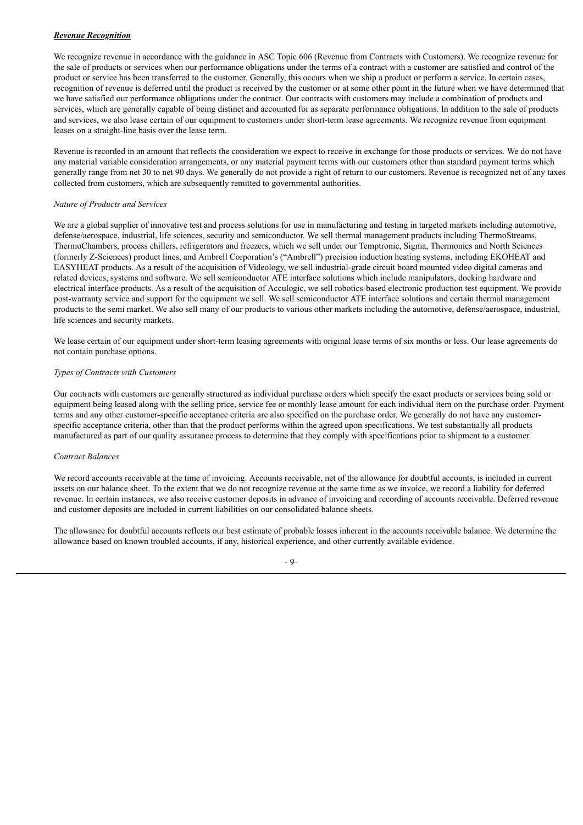# *Revenue Recognition*

We recognize revenue in accordance with the guidance in ASC Topic 606 (Revenue from Contracts with Customers). We recognize revenue for the sale of products or services when our performance obligations under the terms of a contract with a customer are satisfied and control of the product or service has been transferred to the customer. Generally, this occurs when we ship a product or perform a service. In certain cases, recognition of revenue is deferred until the product is received by the customer or at some other point in the future when we have determined that we have satisfied our performance obligations under the contract. Our contracts with customers may include a combination of products and services, which are generally capable of being distinct and accounted for as separate performance obligations. In addition to the sale of products and services, we also lease certain of our equipment to customers under short-term lease agreements. We recognize revenue from equipment leases on a straight-line basis over the lease term.

Revenue is recorded in an amount that reflects the consideration we expect to receive in exchange for those products or services. We do not have any material variable consideration arrangements, or any material payment terms with our customers other than standard payment terms which generally range from net 30 to net 90 days. We generally do not provide a right of return to our customers. Revenue is recognized net of any taxes collected from customers, which are subsequently remitted to governmental authorities.

# *Nature of Products and Services*

We are a global supplier of innovative test and process solutions for use in manufacturing and testing in targeted markets including automotive, defense/aerospace, industrial, life sciences, security and semiconductor. We sell thermal management products including ThermoStreams, ThermoChambers, process chillers, refrigerators and freezers, which we sell under our Temptronic, Sigma, Thermonics and North Sciences (formerly Z-Sciences) product lines, and Ambrell Corporation's ("Ambrell") precision induction heating systems, including EKOHEAT and EASYHEAT products. As a result of the acquisition of Videology, we sell industrial-grade circuit board mounted video digital cameras and related devices, systems and software. We sell semiconductor ATE interface solutions which include manipulators, docking hardware and electrical interface products. As a result of the acquisition of Acculogic, we sell robotics-based electronic production test equipment. We provide post-warranty service and support for the equipment we sell. We sell semiconductor ATE interface solutions and certain thermal management products to the semi market. We also sell many of our products to various other markets including the automotive, defense/aerospace, industrial, life sciences and security markets.

We lease certain of our equipment under short-term leasing agreements with original lease terms of six months or less. Our lease agreements do not contain purchase options.

# *Types of Contracts with Customers*

Our contracts with customers are generally structured as individual purchase orders which specify the exact products or services being sold or equipment being leased along with the selling price, service fee or monthly lease amount for each individual item on the purchase order. Payment terms and any other customer-specific acceptance criteria are also specified on the purchase order. We generally do not have any customerspecific acceptance criteria, other than that the product performs within the agreed upon specifications. We test substantially all products manufactured as part of our quality assurance process to determine that they comply with specifications prior to shipment to a customer.

## *Contract Balances*

We record accounts receivable at the time of invoicing. Accounts receivable, net of the allowance for doubtful accounts, is included in current assets on our balance sheet. To the extent that we do not recognize revenue at the same time as we invoice, we record a liability for deferred revenue. In certain instances, we also receive customer deposits in advance of invoicing and recording of accounts receivable. Deferred revenue and customer deposits are included in current liabilities on our consolidated balance sheets.

The allowance for doubtful accounts reflects our best estimate of probable losses inherent in the accounts receivable balance. We determine the allowance based on known troubled accounts, if any, historical experience, and other currently available evidence.

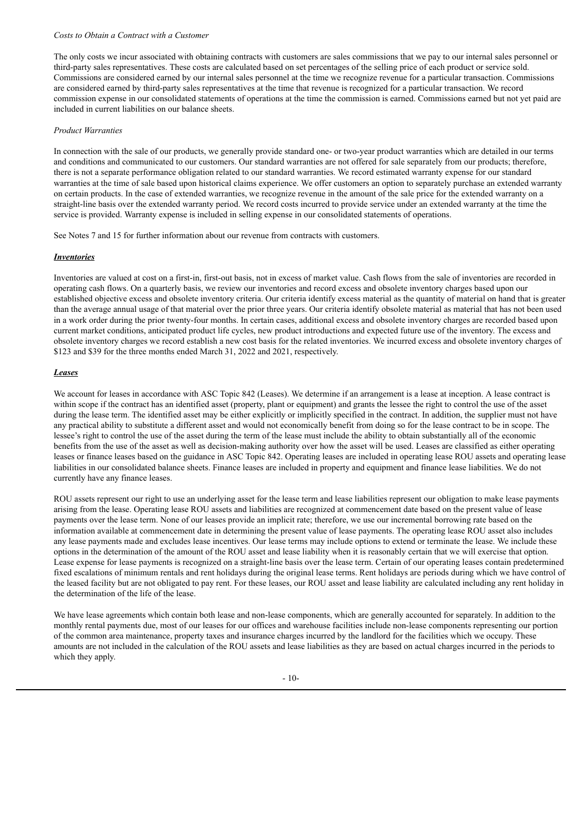#### *Costs to Obtain a Contract with a Customer*

The only costs we incur associated with obtaining contracts with customers are sales commissions that we pay to our internal sales personnel or third-party sales representatives. These costs are calculated based on set percentages of the selling price of each product or service sold. Commissions are considered earned by our internal sales personnel at the time we recognize revenue for a particular transaction. Commissions are considered earned by third-party sales representatives at the time that revenue is recognized for a particular transaction. We record commission expense in our consolidated statements of operations at the time the commission is earned. Commissions earned but not yet paid are included in current liabilities on our balance sheets.

## *Product Warranties*

In connection with the sale of our products, we generally provide standard one- or two-year product warranties which are detailed in our terms and conditions and communicated to our customers. Our standard warranties are not offered for sale separately from our products; therefore, there is not a separate performance obligation related to our standard warranties. We record estimated warranty expense for our standard warranties at the time of sale based upon historical claims experience. We offer customers an option to separately purchase an extended warranty on certain products. In the case of extended warranties, we recognize revenue in the amount of the sale price for the extended warranty on a straight-line basis over the extended warranty period. We record costs incurred to provide service under an extended warranty at the time the service is provided. Warranty expense is included in selling expense in our consolidated statements of operations.

See Notes 7 and 15 for further information about our revenue from contracts with customers.

#### *Inventories*

Inventories are valued at cost on a first-in, first-out basis, not in excess of market value. Cash flows from the sale of inventories are recorded in operating cash flows. On a quarterly basis, we review our inventories and record excess and obsolete inventory charges based upon our established objective excess and obsolete inventory criteria. Our criteria identify excess material as the quantity of material on hand that is greater than the average annual usage of that material over the prior three years. Our criteria identify obsolete material as material that has not been used in a work order during the prior twenty-four months. In certain cases, additional excess and obsolete inventory charges are recorded based upon current market conditions, anticipated product life cycles, new product introductions and expected future use of the inventory. The excess and obsolete inventory charges we record establish a new cost basis for the related inventories. We incurred excess and obsolete inventory charges of \$123 and \$39 for the three months ended March 31, 2022 and 2021, respectively.

#### *Leases*

We account for leases in accordance with ASC Topic 842 (Leases). We determine if an arrangement is a lease at inception. A lease contract is within scope if the contract has an identified asset (property, plant or equipment) and grants the lessee the right to control the use of the asset during the lease term. The identified asset may be either explicitly or implicitly specified in the contract. In addition, the supplier must not have any practical ability to substitute a different asset and would not economically benefit from doing so for the lease contract to be in scope. The lessee's right to control the use of the asset during the term of the lease must include the ability to obtain substantially all of the economic benefits from the use of the asset as well as decision-making authority over how the asset will be used. Leases are classified as either operating leases or finance leases based on the guidance in ASC Topic 842. Operating leases are included in operating lease ROU assets and operating lease liabilities in our consolidated balance sheets. Finance leases are included in property and equipment and finance lease liabilities. We do not currently have any finance leases.

ROU assets represent our right to use an underlying asset for the lease term and lease liabilities represent our obligation to make lease payments arising from the lease. Operating lease ROU assets and liabilities are recognized at commencement date based on the present value of lease payments over the lease term. None of our leases provide an implicit rate; therefore, we use our incremental borrowing rate based on the information available at commencement date in determining the present value of lease payments. The operating lease ROU asset also includes any lease payments made and excludes lease incentives. Our lease terms may include options to extend or terminate the lease. We include these options in the determination of the amount of the ROU asset and lease liability when it is reasonably certain that we will exercise that option. Lease expense for lease payments is recognized on a straight-line basis over the lease term. Certain of our operating leases contain predetermined fixed escalations of minimum rentals and rent holidays during the original lease terms. Rent holidays are periods during which we have control of the leased facility but are not obligated to pay rent. For these leases, our ROU asset and lease liability are calculated including any rent holiday in the determination of the life of the lease.

We have lease agreements which contain both lease and non-lease components, which are generally accounted for separately. In addition to the monthly rental payments due, most of our leases for our offices and warehouse facilities include non-lease components representing our portion of the common area maintenance, property taxes and insurance charges incurred by the landlord for the facilities which we occupy. These amounts are not included in the calculation of the ROU assets and lease liabilities as they are based on actual charges incurred in the periods to which they apply.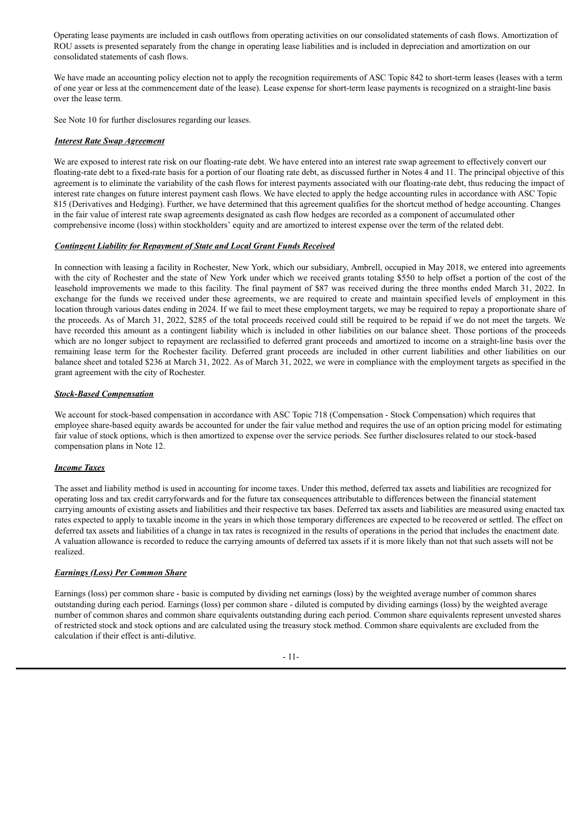Operating lease payments are included in cash outflows from operating activities on our consolidated statements of cash flows. Amortization of ROU assets is presented separately from the change in operating lease liabilities and is included in depreciation and amortization on our consolidated statements of cash flows.

We have made an accounting policy election not to apply the recognition requirements of ASC Topic 842 to short-term leases (leases with a term of one year or less at the commencement date of the lease). Lease expense for short-term lease payments is recognized on a straight-line basis over the lease term.

See Note 10 for further disclosures regarding our leases.

## *Interest Rate Swap Agreement*

We are exposed to interest rate risk on our floating-rate debt. We have entered into an interest rate swap agreement to effectively convert our floating-rate debt to a fixed-rate basis for a portion of our floating rate debt, as discussed further in Notes 4 and 11. The principal objective of this agreement is to eliminate the variability of the cash flows for interest payments associated with our floating-rate debt, thus reducing the impact of interest rate changes on future interest payment cash flows. We have elected to apply the hedge accounting rules in accordance with ASC Topic 815 (Derivatives and Hedging). Further, we have determined that this agreement qualifies for the shortcut method of hedge accounting. Changes in the fair value of interest rate swap agreements designated as cash flow hedges are recorded as a component of accumulated other comprehensive income (loss) within stockholders' equity and are amortized to interest expense over the term of the related debt.

#### *Contingent Liability for Repayment of State and Local Grant Funds Received*

In connection with leasing a facility in Rochester, New York, which our subsidiary, Ambrell, occupied in May 2018, we entered into agreements with the city of Rochester and the state of New York under which we received grants totaling \$550 to help offset a portion of the cost of the leasehold improvements we made to this facility. The final payment of \$87 was received during the three months ended March 31, 2022. In exchange for the funds we received under these agreements, we are required to create and maintain specified levels of employment in this location through various dates ending in 2024. If we fail to meet these employment targets, we may be required to repay a proportionate share of the proceeds. As of March 31, 2022, \$285 of the total proceeds received could still be required to be repaid if we do not meet the targets. We have recorded this amount as a contingent liability which is included in other liabilities on our balance sheet. Those portions of the proceeds which are no longer subject to repayment are reclassified to deferred grant proceeds and amortized to income on a straight-line basis over the remaining lease term for the Rochester facility. Deferred grant proceeds are included in other current liabilities and other liabilities on our balance sheet and totaled \$236 at March 31, 2022. As of March 31, 2022, we were in compliance with the employment targets as specified in the grant agreement with the city of Rochester.

#### *Stock-Based Compensation*

We account for stock-based compensation in accordance with ASC Topic 718 (Compensation - Stock Compensation) which requires that employee share-based equity awards be accounted for under the fair value method and requires the use of an option pricing model for estimating fair value of stock options, which is then amortized to expense over the service periods. See further disclosures related to our stock-based compensation plans in Note 12.

#### *Income Taxes*

The asset and liability method is used in accounting for income taxes. Under this method, deferred tax assets and liabilities are recognized for operating loss and tax credit carryforwards and for the future tax consequences attributable to differences between the financial statement carrying amounts of existing assets and liabilities and their respective tax bases. Deferred tax assets and liabilities are measured using enacted tax rates expected to apply to taxable income in the years in which those temporary differences are expected to be recovered or settled. The effect on deferred tax assets and liabilities of a change in tax rates is recognized in the results of operations in the period that includes the enactment date. A valuation allowance is recorded to reduce the carrying amounts of deferred tax assets if it is more likely than not that such assets will not be realized.

#### *Earnings (Loss) Per Common Share*

Earnings (loss) per common share - basic is computed by dividing net earnings (loss) by the weighted average number of common shares outstanding during each period. Earnings (loss) per common share - diluted is computed by dividing earnings (loss) by the weighted average number of common shares and common share equivalents outstanding during each period. Common share equivalents represent unvested shares of restricted stock and stock options and are calculated using the treasury stock method. Common share equivalents are excluded from the calculation if their effect is anti-dilutive.

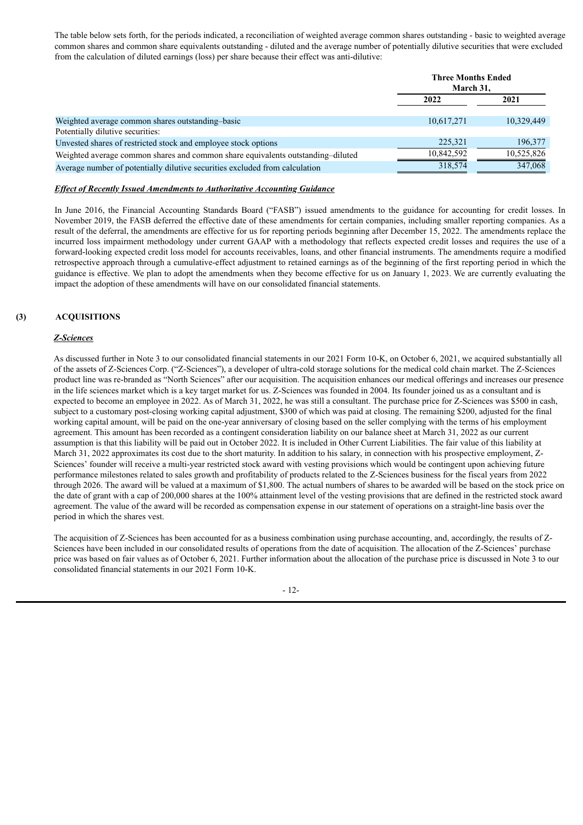The table below sets forth, for the periods indicated, a reconciliation of weighted average common shares outstanding - basic to weighted average common shares and common share equivalents outstanding - diluted and the average number of potentially dilutive securities that were excluded from the calculation of diluted earnings (loss) per share because their effect was anti-dilutive:

|                                                                                                    | <b>Three Months Ended</b><br>March 31, |            |
|----------------------------------------------------------------------------------------------------|----------------------------------------|------------|
|                                                                                                    | 2022                                   | 2021       |
| Weighted average common shares outstanding-basic                                                   | 10,617,271                             | 10.329.449 |
| Potentially dilutive securities:<br>Unvested shares of restricted stock and employee stock options | 225,321                                | 196,377    |
| Weighted average common shares and common share equivalents outstanding-diluted                    | 10.842.592                             | 10.525.826 |
| Average number of potentially dilutive securities excluded from calculation                        | 318,574                                | 347,068    |

#### *Ef ect of Recently Issued Amendments to Authoritative Accounting Guidance*

In June 2016, the Financial Accounting Standards Board ("FASB") issued amendments to the guidance for accounting for credit losses. In November 2019, the FASB deferred the effective date of these amendments for certain companies, including smaller reporting companies. As a result of the deferral, the amendments are effective for us for reporting periods beginning after December 15, 2022. The amendments replace the incurred loss impairment methodology under current GAAP with a methodology that reflects expected credit losses and requires the use of a forward-looking expected credit loss model for accounts receivables, loans, and other financial instruments. The amendments require a modified retrospective approach through a cumulative-effect adjustment to retained earnings as of the beginning of the first reporting period in which the guidance is effective. We plan to adopt the amendments when they become effective for us on January 1, 2023. We are currently evaluating the impact the adoption of these amendments will have on our consolidated financial statements.

# **(3) ACQUISITIONS**

#### *Z-Sciences*

As discussed further in Note 3 to our consolidated financial statements in our 2021 Form 10-K, on October 6, 2021, we acquired substantially all of the assets of Z-Sciences Corp. ("Z-Sciences"), a developer of ultra-cold storage solutions for the medical cold chain market. The Z-Sciences product line was re-branded as "North Sciences" after our acquisition. The acquisition enhances our medical offerings and increases our presence in the life sciences market which is a key target market for us. Z-Sciences was founded in 2004. Its founder joined us as a consultant and is expected to become an employee in 2022. As of March 31, 2022, he was still a consultant. The purchase price for Z-Sciences was \$500 in cash, subject to a customary post-closing working capital adjustment, \$300 of which was paid at closing. The remaining \$200, adjusted for the final working capital amount, will be paid on the one-year anniversary of closing based on the seller complying with the terms of his employment agreement. This amount has been recorded as a contingent consideration liability on our balance sheet at March 31, 2022 as our current assumption is that this liability will be paid out in October 2022. It is included in Other Current Liabilities. The fair value of this liability at March 31, 2022 approximates its cost due to the short maturity. In addition to his salary, in connection with his prospective employment, Z-Sciences' founder will receive a multi-year restricted stock award with vesting provisions which would be contingent upon achieving future performance milestones related to sales growth and profitability of products related to the Z-Sciences business for the fiscal years from 2022 through 2026. The award will be valued at a maximum of \$1,800. The actual numbers of shares to be awarded will be based on the stock price on the date of grant with a cap of 200,000 shares at the 100% attainment level of the vesting provisions that are defined in the restricted stock award agreement. The value of the award will be recorded as compensation expense in our statement of operations on a straight-line basis over the period in which the shares vest.

The acquisition of Z-Sciences has been accounted for as a business combination using purchase accounting, and, accordingly, the results of Z-Sciences have been included in our consolidated results of operations from the date of acquisition. The allocation of the Z-Sciences' purchase price was based on fair values as of October 6, 2021. Further information about the allocation of the purchase price is discussed in Note 3 to our consolidated financial statements in our 2021 Form 10-K.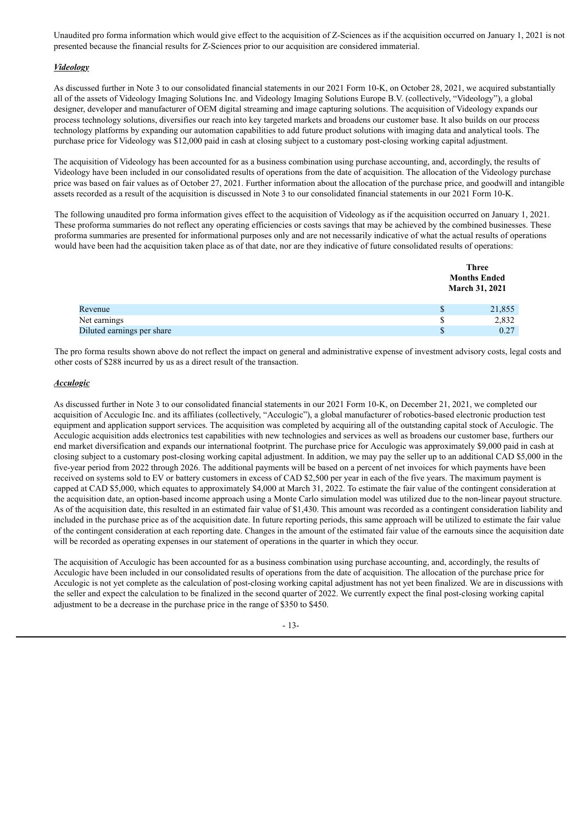Unaudited pro forma information which would give effect to the acquisition of Z-Sciences as if the acquisition occurred on January 1, 2021 is not presented because the financial results for Z-Sciences prior to our acquisition are considered immaterial.

# *Videology*

As discussed further in Note 3 to our consolidated financial statements in our 2021 Form 10-K, on October 28, 2021, we acquired substantially all of the assets of Videology Imaging Solutions Inc. and Videology Imaging Solutions Europe B.V. (collectively, "Videology"), a global designer, developer and manufacturer of OEM digital streaming and image capturing solutions. The acquisition of Videology expands our process technology solutions, diversifies our reach into key targeted markets and broadens our customer base. It also builds on our process technology platforms by expanding our automation capabilities to add future product solutions with imaging data and analytical tools. The purchase price for Videology was \$12,000 paid in cash at closing subject to a customary post-closing working capital adjustment.

The acquisition of Videology has been accounted for as a business combination using purchase accounting, and, accordingly, the results of Videology have been included in our consolidated results of operations from the date of acquisition. The allocation of the Videology purchase price was based on fair values as of October 27, 2021. Further information about the allocation of the purchase price, and goodwill and intangible assets recorded as a result of the acquisition is discussed in Note 3 to our consolidated financial statements in our 2021 Form 10-K.

The following unaudited pro forma information gives effect to the acquisition of Videology as if the acquisition occurred on January 1, 2021. These proforma summaries do not reflect any operating efficiencies or costs savings that may be achieved by the combined businesses. These proforma summaries are presented for informational purposes only and are not necessarily indicative of what the actual results of operations would have been had the acquisition taken place as of that date, nor are they indicative of future consolidated results of operations:

|                            |   | Three<br><b>Months Ended</b><br><b>March 31, 2021</b> |
|----------------------------|---|-------------------------------------------------------|
| Revenue                    |   | 21,855                                                |
| Net earnings               | S | 2,832                                                 |
| Diluted earnings per share |   | 0.27                                                  |

The pro forma results shown above do not reflect the impact on general and administrative expense of investment advisory costs, legal costs and other costs of \$288 incurred by us as a direct result of the transaction.

#### *Acculogic*

As discussed further in Note 3 to our consolidated financial statements in our 2021 Form 10-K, on December 21, 2021, we completed our acquisition of Acculogic Inc. and its affiliates (collectively, "Acculogic"), a global manufacturer of robotics-based electronic production test equipment and application support services. The acquisition was completed by acquiring all of the outstanding capital stock of Acculogic. The Acculogic acquisition adds electronics test capabilities with new technologies and services as well as broadens our customer base, furthers our end market diversification and expands our international footprint. The purchase price for Acculogic was approximately \$9,000 paid in cash at closing subject to a customary post-closing working capital adjustment. In addition, we may pay the seller up to an additional CAD \$5,000 in the five-year period from 2022 through 2026. The additional payments will be based on a percent of net invoices for which payments have been received on systems sold to EV or battery customers in excess of CAD \$2,500 per year in each of the five years. The maximum payment is capped at CAD \$5,000, which equates to approximately \$4,000 at March 31, 2022. To estimate the fair value of the contingent consideration at the acquisition date, an option-based income approach using a Monte Carlo simulation model was utilized due to the non-linear payout structure. As of the acquisition date, this resulted in an estimated fair value of \$1,430. This amount was recorded as a contingent consideration liability and included in the purchase price as of the acquisition date. In future reporting periods, this same approach will be utilized to estimate the fair value of the contingent consideration at each reporting date. Changes in the amount of the estimated fair value of the earnouts since the acquisition date will be recorded as operating expenses in our statement of operations in the quarter in which they occur.

The acquisition of Acculogic has been accounted for as a business combination using purchase accounting, and, accordingly, the results of Acculogic have been included in our consolidated results of operations from the date of acquisition. The allocation of the purchase price for Acculogic is not yet complete as the calculation of post-closing working capital adjustment has not yet been finalized. We are in discussions with the seller and expect the calculation to be finalized in the second quarter of 2022. We currently expect the final post-closing working capital adjustment to be a decrease in the purchase price in the range of \$350 to \$450.

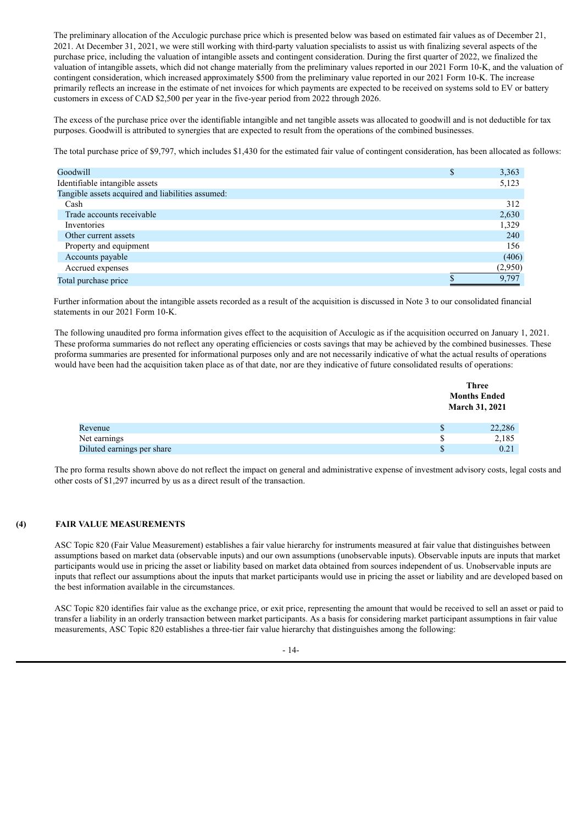The preliminary allocation of the Acculogic purchase price which is presented below was based on estimated fair values as of December 21, 2021. At December 31, 2021, we were still working with third-party valuation specialists to assist us with finalizing several aspects of the purchase price, including the valuation of intangible assets and contingent consideration. During the first quarter of 2022, we finalized the valuation of intangible assets, which did not change materially from the preliminary values reported in our 2021 Form 10-K, and the valuation of contingent consideration, which increased approximately \$500 from the preliminary value reported in our 2021 Form 10-K. The increase primarily reflects an increase in the estimate of net invoices for which payments are expected to be received on systems sold to EV or battery customers in excess of CAD \$2,500 per year in the five-year period from 2022 through 2026.

The excess of the purchase price over the identifiable intangible and net tangible assets was allocated to goodwill and is not deductible for tax purposes. Goodwill is attributed to synergies that are expected to result from the operations of the combined businesses.

The total purchase price of \$9,797, which includes \$1,430 for the estimated fair value of contingent consideration, has been allocated as follows:

| Goodwill                                          | 3,363   |
|---------------------------------------------------|---------|
| Identifiable intangible assets                    | 5,123   |
| Tangible assets acquired and liabilities assumed: |         |
| Cash                                              | 312     |
| Trade accounts receivable                         | 2,630   |
| Inventories                                       | 1,329   |
| Other current assets                              | 240     |
| Property and equipment                            | 156     |
| Accounts payable                                  | (406)   |
| Accrued expenses                                  | (2,950) |
| Total purchase price                              | 9,797   |
|                                                   |         |

Further information about the intangible assets recorded as a result of the acquisition is discussed in Note 3 to our consolidated financial statements in our 2021 Form 10-K.

The following unaudited pro forma information gives effect to the acquisition of Acculogic as if the acquisition occurred on January 1, 2021. These proforma summaries do not reflect any operating efficiencies or costs savings that may be achieved by the combined businesses. These proforma summaries are presented for informational purposes only and are not necessarily indicative of what the actual results of operations would have been had the acquisition taken place as of that date, nor are they indicative of future consolidated results of operations:

|                            |    | <b>Three</b><br><b>Months Ended</b><br><b>March 31, 2021</b> |
|----------------------------|----|--------------------------------------------------------------|
| Revenue                    | S  | 22,286                                                       |
| Net earnings               | S. | 2,185                                                        |
| Diluted earnings per share | S  | 0.21                                                         |

The pro forma results shown above do not reflect the impact on general and administrative expense of investment advisory costs, legal costs and other costs of \$1,297 incurred by us as a direct result of the transaction.

## **(4) FAIR VALUE MEASUREMENTS**

ASC Topic 820 (Fair Value Measurement) establishes a fair value hierarchy for instruments measured at fair value that distinguishes between assumptions based on market data (observable inputs) and our own assumptions (unobservable inputs). Observable inputs are inputs that market participants would use in pricing the asset or liability based on market data obtained from sources independent of us. Unobservable inputs are inputs that reflect our assumptions about the inputs that market participants would use in pricing the asset or liability and are developed based on the best information available in the circumstances.

ASC Topic 820 identifies fair value as the exchange price, or exit price, representing the amount that would be received to sell an asset or paid to transfer a liability in an orderly transaction between market participants. As a basis for considering market participant assumptions in fair value measurements, ASC Topic 820 establishes a three-tier fair value hierarchy that distinguishes among the following:

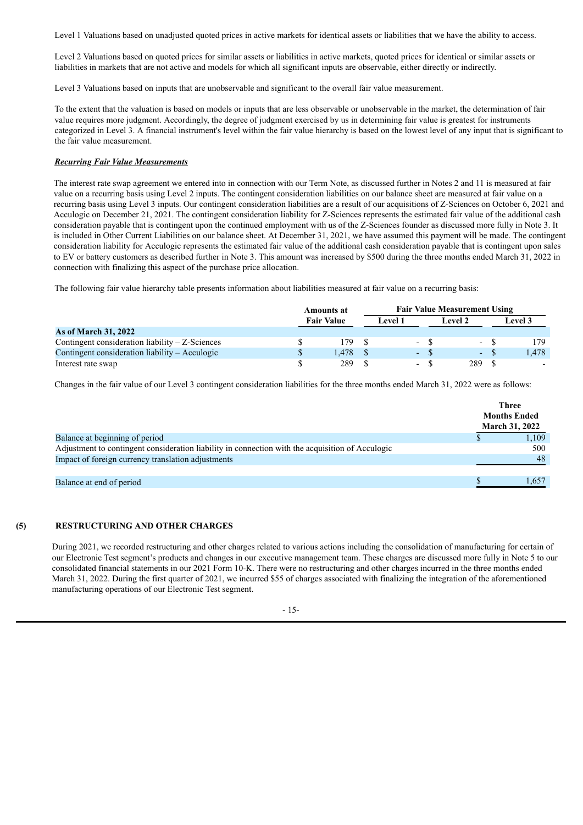Level 1 Valuations based on unadjusted quoted prices in active markets for identical assets or liabilities that we have the ability to access.

Level 2 Valuations based on quoted prices for similar assets or liabilities in active markets, quoted prices for identical or similar assets or liabilities in markets that are not active and models for which all significant inputs are observable, either directly or indirectly.

Level 3 Valuations based on inputs that are unobservable and significant to the overall fair value measurement.

To the extent that the valuation is based on models or inputs that are less observable or unobservable in the market, the determination of fair value requires more judgment. Accordingly, the degree of judgment exercised by us in determining fair value is greatest for instruments categorized in Level 3. A financial instrument's level within the fair value hierarchy is based on the lowest level of any input that is significant to the fair value measurement.

## *Recurring Fair Value Measurements*

The interest rate swap agreement we entered into in connection with our Term Note, as discussed further in Notes 2 and 11 is measured at fair value on a recurring basis using Level 2 inputs. The contingent consideration liabilities on our balance sheet are measured at fair value on a recurring basis using Level 3 inputs. Our contingent consideration liabilities are a result of our acquisitions of Z-Sciences on October 6, 2021 and Acculogic on December 21, 2021. The contingent consideration liability for Z-Sciences represents the estimated fair value of the additional cash consideration payable that is contingent upon the continued employment with us of the Z-Sciences founder as discussed more fully in Note 3. It is included in Other Current Liabilities on our balance sheet. At December 31, 2021, we have assumed this payment will be made. The contingent consideration liability for Acculogic represents the estimated fair value of the additional cash consideration payable that is contingent upon sales to EV or battery customers as described further in Note 3. This amount was increased by \$500 during the three months ended March 31, 2022 in connection with finalizing this aspect of the purchase price allocation.

The following fair value hierarchy table presents information about liabilities measured at fair value on a recurring basis:

|                                                   | <b>Amounts at</b> |      |  |         | <b>Fair Value Measurement Using</b> |         |                          |         |
|---------------------------------------------------|-------------------|------|--|---------|-------------------------------------|---------|--------------------------|---------|
|                                                   | <b>Fair Value</b> |      |  | Level 1 |                                     | Level 2 |                          | Level 3 |
| <b>As of March 31, 2022</b>                       |                   |      |  |         |                                     |         |                          |         |
| Contingent consideration liability $-Z$ -Sciences |                   | 79   |  |         |                                     |         | $\overline{\phantom{a}}$ |         |
| Contingent consideration liability – Acculogic    |                   | .478 |  |         | $-$ \$                              |         | $\sim$                   | 1.478   |
| Interest rate swap                                |                   | 289  |  |         | $\sim$                              | 289     |                          |         |

Changes in the fair value of our Level 3 contingent consideration liabilities for the three months ended March 31, 2022 were as follows:

|                                                                                                  | <b>Three</b><br><b>Months Ended</b><br><b>March 31, 2022</b> |
|--------------------------------------------------------------------------------------------------|--------------------------------------------------------------|
| Balance at beginning of period                                                                   | 1,109                                                        |
| Adjustment to contingent consideration liability in connection with the acquisition of Acculogic | 500                                                          |
| Impact of foreign currency translation adjustments                                               | 48                                                           |
| Balance at end of period                                                                         | 1.657                                                        |

#### **(5) RESTRUCTURING AND OTHER CHARGES**

During 2021, we recorded restructuring and other charges related to various actions including the consolidation of manufacturing for certain of our Electronic Test segment's products and changes in our executive management team. These charges are discussed more fully in Note 5 to our consolidated financial statements in our 2021 Form 10-K. There were no restructuring and other charges incurred in the three months ended March 31, 2022. During the first quarter of 2021, we incurred \$55 of charges associated with finalizing the integration of the aforementioned manufacturing operations of our Electronic Test segment.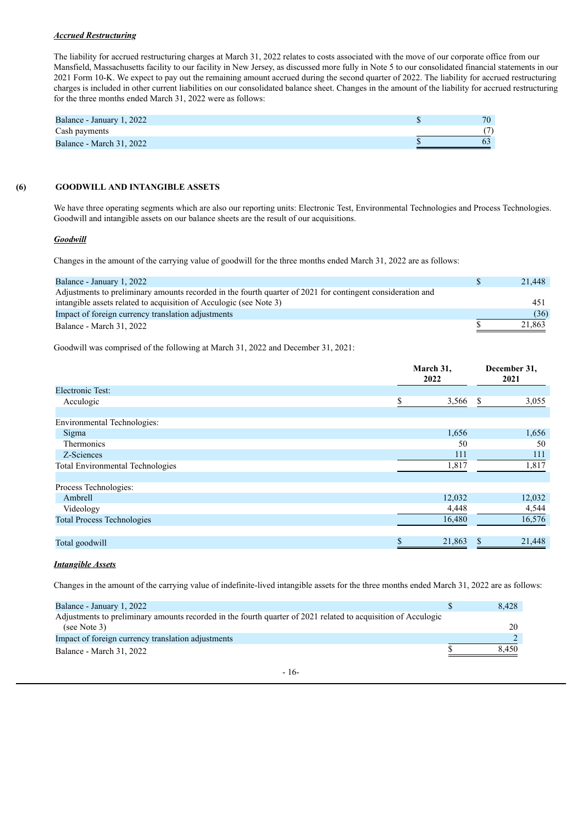#### *Accrued Restructuring*

The liability for accrued restructuring charges at March 31, 2022 relates to costs associated with the move of our corporate office from our Mansfield, Massachusetts facility to our facility in New Jersey, as discussed more fully in Note 5 to our consolidated financial statements in our 2021 Form 10-K. We expect to pay out the remaining amount accrued during the second quarter of 2022. The liability for accrued restructuring charges is included in other current liabilities on our consolidated balance sheet. Changes in the amount of the liability for accrued restructuring for the three months ended March 31, 2022 were as follows:

| Balance - January 1, 2022       | 70. |
|---------------------------------|-----|
| Cash payments                   |     |
| <b>Balance - March 31, 2022</b> |     |

# **(6) GOODWILL AND INTANGIBLE ASSETS**

We have three operating segments which are also our reporting units: Electronic Test, Environmental Technologies and Process Technologies. Goodwill and intangible assets on our balance sheets are the result of our acquisitions.

## *Goodwill*

Changes in the amount of the carrying value of goodwill for the three months ended March 31, 2022 are as follows:

| Balance - January 1, 2022                                                                                  | 21,448 |
|------------------------------------------------------------------------------------------------------------|--------|
| Adjustments to preliminary amounts recorded in the fourth quarter of 2021 for contingent consideration and |        |
| intangible assets related to acquisition of Acculogic (see Note 3)                                         | 451    |
| Impact of foreign currency translation adjustments                                                         | (36)   |
| Balance - March 31, 2022                                                                                   | 21.863 |

Goodwill was comprised of the following at March 31, 2022 and December 31, 2021:

|                                         | March 31,<br>2022 | December 31,<br>2021 |
|-----------------------------------------|-------------------|----------------------|
| <b>Electronic Test:</b>                 |                   |                      |
| Acculogic                               | \$<br>3,566       | \$<br>3,055          |
|                                         |                   |                      |
| Environmental Technologies:             |                   |                      |
| Sigma                                   | 1,656             | 1,656                |
| Thermonics                              | 50                | 50                   |
| Z-Sciences                              | 111               | 111                  |
| <b>Total Environmental Technologies</b> | 1,817             | 1,817                |
| Process Technologies:                   |                   |                      |
| Ambrell                                 | 12,032            | 12,032               |
| Videology                               | 4,448             | 4,544                |
| <b>Total Process Technologies</b>       | 16,480            | 16,576               |
| Total goodwill                          | \$<br>21,863      | \$<br>21,448         |

## *Intangible Assets*

Changes in the amount of the carrying value of indefinite-lived intangible assets for the three months ended March 31, 2022 are as follows:

| Balance - January 1, 2022                                                                                     | 8,428 |
|---------------------------------------------------------------------------------------------------------------|-------|
| Adjustments to preliminary amounts recorded in the fourth quarter of 2021 related to acquisition of Acculogic |       |
| (see Note 3)                                                                                                  | 20    |
| Impact of foreign currency translation adjustments                                                            |       |
| Balance - March 31, 2022                                                                                      | 8.450 |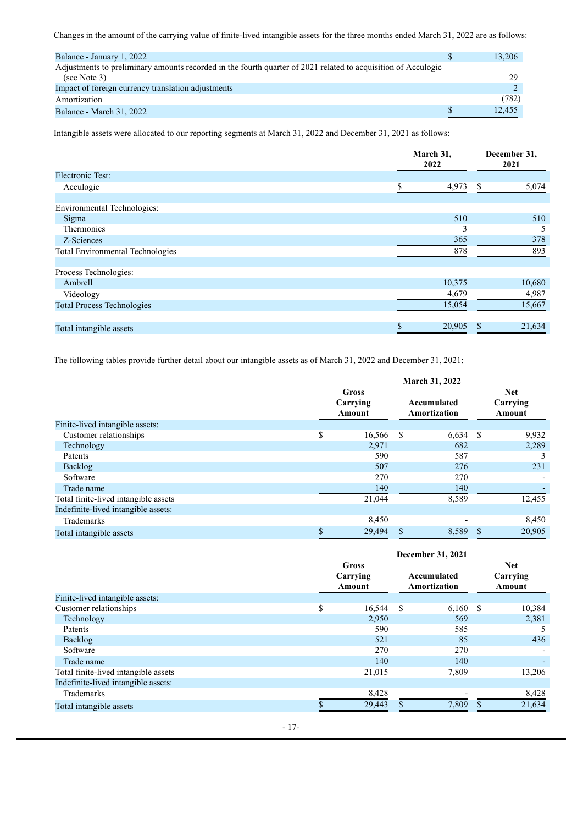Changes in the amount of the carrying value of finite-lived intangible assets for the three months ended March 31, 2022 are as follows:

| Balance - January 1, 2022                                                                                     | 13,206 |
|---------------------------------------------------------------------------------------------------------------|--------|
| Adjustments to preliminary amounts recorded in the fourth quarter of 2021 related to acquisition of Acculogic |        |
| (see Note 3)                                                                                                  | 29     |
| Impact of foreign currency translation adjustments                                                            |        |
| Amortization                                                                                                  | (782)  |
| <b>Balance - March 31, 2022</b>                                                                               | 12.455 |

Intangible assets were allocated to our reporting segments at March 31, 2022 and December 31, 2021 as follows:

|                                         | March 31,<br>2022 |        | December 31,<br>2021 |
|-----------------------------------------|-------------------|--------|----------------------|
| <b>Electronic Test:</b>                 |                   |        |                      |
| Acculogic                               |                   | 4,973  | \$<br>5,074          |
|                                         |                   |        |                      |
| Environmental Technologies:             |                   |        |                      |
| Sigma                                   |                   | 510    | 510                  |
| Thermonics                              |                   | 3      | 5                    |
| Z-Sciences                              |                   | 365    | 378                  |
| <b>Total Environmental Technologies</b> |                   | 878    | 893                  |
|                                         |                   |        |                      |
| Process Technologies:                   |                   |        |                      |
| Ambrell                                 |                   | 10,375 | 10,680               |
| Videology                               |                   | 4,679  | 4,987                |
| <b>Total Process Technologies</b>       |                   | 15,054 | 15,667               |
|                                         |                   |        |                      |
| Total intangible assets                 | æ                 | 20,905 | 21,634               |

The following tables provide further detail about our intangible assets as of March 31, 2022 and December 31, 2021:

|                                      | March 31, 2022 |                                    |   |                             |               |                                  |
|--------------------------------------|----------------|------------------------------------|---|-----------------------------|---------------|----------------------------------|
|                                      |                | <b>Gross</b><br>Carrying<br>Amount |   | Accumulated<br>Amortization |               | <b>Net</b><br>Carrying<br>Amount |
| Finite-lived intangible assets:      |                |                                    |   |                             |               |                                  |
| Customer relationships               | \$             | 16,566                             | S | 6,634                       | <sup>\$</sup> | 9,932                            |
| Technology                           |                | 2,971                              |   | 682                         |               | 2,289                            |
| <b>Patents</b>                       |                | 590                                |   | 587                         |               |                                  |
| Backlog                              |                | 507                                |   | 276                         |               | 231                              |
| Software                             |                | 270                                |   | 270                         |               |                                  |
| Trade name                           |                | 140                                |   | 140                         |               |                                  |
| Total finite-lived intangible assets |                | 21,044                             |   | 8,589                       |               | 12,455                           |
| Indefinite-lived intangible assets:  |                |                                    |   |                             |               |                                  |
| Trademarks                           |                | 8,450                              |   |                             |               | 8,450                            |
| Total intangible assets              |                | 29,494                             |   | 8,589                       | \$            | 20,905                           |

|                                      | December 31, 2021 |               |     |              |                    |               |  |
|--------------------------------------|-------------------|---------------|-----|--------------|--------------------|---------------|--|
|                                      |                   | <b>Gross</b>  |     |              |                    | <b>Net</b>    |  |
|                                      |                   | Carrying      |     | Accumulated  |                    | Carrying      |  |
|                                      |                   | <b>Amount</b> |     | Amortization |                    | <b>Amount</b> |  |
| Finite-lived intangible assets:      |                   |               |     |              |                    |               |  |
| Customer relationships               | \$                | 16,544        | S   | $6,160$ \$   |                    | 10,384        |  |
| Technology                           |                   | 2,950         |     | 569          |                    | 2,381         |  |
| Patents                              |                   | 590           |     | 585          |                    |               |  |
| Backlog                              |                   | 521           |     | 85           |                    | 436           |  |
| Software                             |                   | 270           |     | 270          |                    |               |  |
| Trade name                           |                   | 140           |     | 140          |                    |               |  |
| Total finite-lived intangible assets |                   | 21,015        |     | 7,809        |                    | 13,206        |  |
| Indefinite-lived intangible assets:  |                   |               |     |              |                    |               |  |
| Trademarks                           |                   | 8,428         |     |              |                    | 8,428         |  |
| Total intangible assets              |                   | 29,443        | \$. | 7,809        | $\mathbf{\hat{s}}$ | 21,634        |  |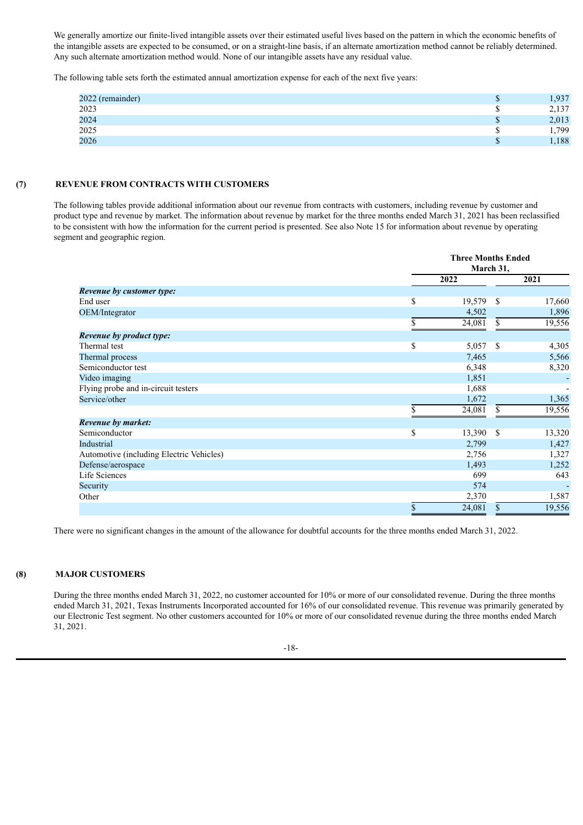We generally amortize our finite-lived intangible assets over their estimated useful lives based on the pattern in which the economic benefits of the intangible assets are expected to be consumed, or on a straight-line basis, if an alternate amortization method cannot be reliably determined. Any such alternate amortization method would. None of our intangible assets have any residual value.

The following table sets forth the estimated annual amortization expense for each of the next five years:

| 2022 (remainder) | Φ      | 1,937 |
|------------------|--------|-------|
| 2023             | ۰D     | 2,137 |
| 2024             | ጦ<br>Φ | 2,013 |
| 2025             | ۰D     | ,799  |
| 2026             | m<br>Φ | 1,188 |

## **(7) REVENUE FROM CONTRACTS WITH CUSTOMERS**

The following tables provide additional information about our revenue from contracts with customers, including revenue by customer and product type and revenue by market. The information about revenue by market for the three months ended March 31, 2021 has been reclassified to be consistent with how the information for the current period is presented. See also Note 15 for information about revenue by operating segment and geographic region.

|                                          | <b>Three Months Ended</b><br>March 31, |               |        |  |  |
|------------------------------------------|----------------------------------------|---------------|--------|--|--|
|                                          | 2022                                   |               | 2021   |  |  |
| Revenue by customer type:                |                                        |               |        |  |  |
| End user                                 | \$<br>19,579                           | <sup>\$</sup> | 17,660 |  |  |
| OEM/Integrator                           | 4,502                                  |               | 1,896  |  |  |
|                                          | \$<br>24,081                           | \$.           | 19,556 |  |  |
| <b>Revenue by product type:</b>          |                                        |               |        |  |  |
| Thermal test                             | \$<br>5,057                            | -S            | 4,305  |  |  |
| Thermal process                          | 7,465                                  |               | 5,566  |  |  |
| Semiconductor test                       | 6,348                                  |               | 8,320  |  |  |
| Video imaging                            | 1,851                                  |               |        |  |  |
| Flying probe and in-circuit testers      | 1,688                                  |               |        |  |  |
| Service/other                            | 1,672                                  |               | 1,365  |  |  |
|                                          | 24,081                                 | \$            | 19,556 |  |  |
| <b>Revenue by market:</b>                |                                        |               |        |  |  |
| Semiconductor                            | \$<br>13,390                           | -S            | 13,320 |  |  |
| Industrial                               | 2,799                                  |               | 1,427  |  |  |
| Automotive (including Electric Vehicles) | 2,756                                  |               | 1,327  |  |  |
| Defense/aerospace                        | 1,493                                  |               | 1,252  |  |  |
| Life Sciences                            | 699                                    |               | 643    |  |  |
| Security                                 | 574                                    |               |        |  |  |
| Other                                    | 2,370                                  |               | 1,587  |  |  |
|                                          | \$<br>24,081                           | $\mathbf S$   | 19,556 |  |  |

There were no significant changes in the amount of the allowance for doubtful accounts for the three months ended March 31, 2022.

# **(8) MAJOR CUSTOMERS**

During the three months ended March 31, 2022, no customer accounted for 10% or more of our consolidated revenue. During the three months ended March 31, 2021, Texas Instruments Incorporated accounted for 16% of our consolidated revenue. This revenue was primarily generated by our Electronic Test segment. No other customers accounted for 10% or more of our consolidated revenue during the three months ended March 31, 2021.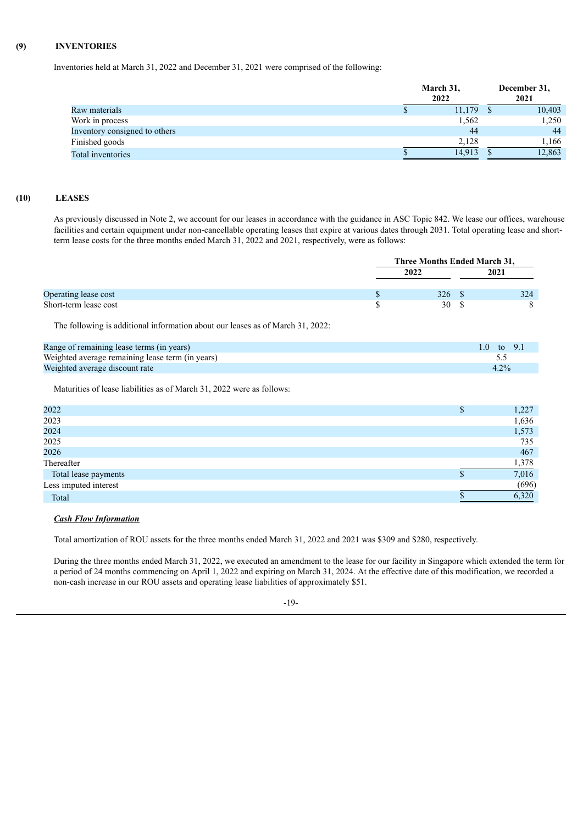# **(9) INVENTORIES**

Inventories held at March 31, 2022 and December 31, 2021 were comprised of the following:

|                               | March 31,<br>2022 |        |  | December 31,<br>2021 |  |  |
|-------------------------------|-------------------|--------|--|----------------------|--|--|
| Raw materials                 |                   | 11,179 |  | 10,403               |  |  |
| Work in process               |                   | 1,562  |  | 1,250                |  |  |
| Inventory consigned to others |                   | 44     |  | 44                   |  |  |
| Finished goods                |                   | 2,128  |  | 1,166                |  |  |
| Total inventories             |                   | 14,913 |  | 12,863               |  |  |

# **(10) LEASES**

As previously discussed in Note 2, we account for our leases in accordance with the guidance in ASC Topic 842. We lease our offices, warehouse facilities and certain equipment under non-cancellable operating leases that expire at various dates through 2031. Total operating lease and shortterm lease costs for the three months ended March 31, 2022 and 2021, respectively, were as follows:

|                       | Three Months Ended March 31, |  |      |  |
|-----------------------|------------------------------|--|------|--|
|                       | 2022                         |  | 2021 |  |
| Operating lease cost  | 326                          |  | 324  |  |
| Short-term lease cost | 30                           |  |      |  |

The following is additional information about our leases as of March 31, 2022:

| Range of remaining lease terms (in years)        | 1.0 to 9.1 |
|--------------------------------------------------|------------|
| Weighted average remaining lease term (in years) |            |
| Weighted average discount rate                   | $4.2\%$    |

Maturities of lease liabilities as of March 31, 2022 were as follows:

| 2022                  | 1,227 |
|-----------------------|-------|
| 2023                  | 1,636 |
| 2024                  | 1,573 |
| 2025                  | 735   |
| 2026                  | 467   |
| Thereafter            | 1,378 |
| Total lease payments  | 7,016 |
| Less imputed interest | (696) |
| Total                 | 6,320 |
|                       |       |

## *Cash Flow Information*

Total amortization of ROU assets for the three months ended March 31, 2022 and 2021 was \$309 and \$280, respectively.

During the three months ended March 31, 2022, we executed an amendment to the lease for our facility in Singapore which extended the term for a period of 24 months commencing on April 1, 2022 and expiring on March 31, 2024. At the effective date of this modification, we recorded a non-cash increase in our ROU assets and operating lease liabilities of approximately \$51.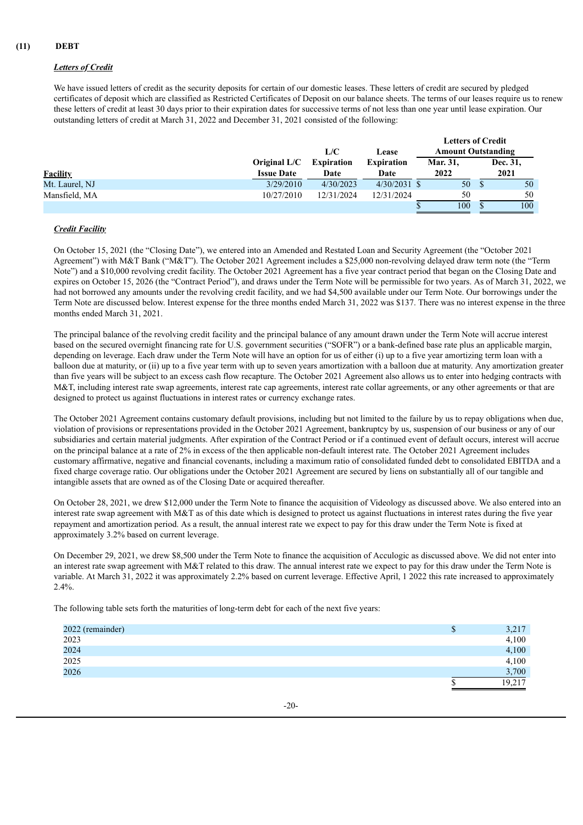# *Letters of Credit*

We have issued letters of credit as the security deposits for certain of our domestic leases. These letters of credit are secured by pledged certificates of deposit which are classified as Restricted Certificates of Deposit on our balance sheets. The terms of our leases require us to renew these letters of credit at least 30 days prior to their expiration dates for successive terms of not less than one year until lease expiration. Our outstanding letters of credit at March 31, 2022 and December 31, 2021 consisted of the following:

|                 |                                   | L/C                       | Lease                     | <b>Letters of Credit</b><br><b>Amount Outstanding</b> |                  |
|-----------------|-----------------------------------|---------------------------|---------------------------|-------------------------------------------------------|------------------|
| <b>Facility</b> | Original L/C<br><b>Issue Date</b> | <b>Expiration</b><br>Date | <b>Expiration</b><br>Date | <b>Mar. 31,</b><br>2022                               | Dec. 31,<br>2021 |
| Mt. Laurel, NJ  | 3/29/2010                         | 4/30/2023                 | $4/30/2031$ \$            | 50                                                    | 50               |
| Mansfield, MA   | 10/27/2010                        | 12/31/2024                | 12/31/2024                | 50                                                    | 50               |
|                 |                                   |                           |                           | 100                                                   | 100              |

# *Credit Facility*

On October 15, 2021 (the "Closing Date"), we entered into an Amended and Restated Loan and Security Agreement (the "October 2021 Agreement") with M&T Bank ("M&T"). The October 2021 Agreement includes a \$25,000 non-revolving delayed draw term note (the "Term Note") and a \$10,000 revolving credit facility. The October 2021 Agreement has a five year contract period that began on the Closing Date and expires on October 15, 2026 (the "Contract Period"), and draws under the Term Note will be permissible for two years. As of March 31, 2022, we had not borrowed any amounts under the revolving credit facility, and we had \$4,500 available under our Term Note. Our borrowings under the Term Note are discussed below. Interest expense for the three months ended March 31, 2022 was \$137. There was no interest expense in the three months ended March 31, 2021.

The principal balance of the revolving credit facility and the principal balance of any amount drawn under the Term Note will accrue interest based on the secured overnight financing rate for U.S. government securities ("SOFR") or a bank-defined base rate plus an applicable margin, depending on leverage. Each draw under the Term Note will have an option for us of either (i) up to a five year amortizing term loan with a balloon due at maturity, or (ii) up to a five year term with up to seven years amortization with a balloon due at maturity. Any amortization greater than five years will be subject to an excess cash flow recapture. The October 2021 Agreement also allows us to enter into hedging contracts with M&T, including interest rate swap agreements, interest rate cap agreements, interest rate collar agreements, or any other agreements or that are designed to protect us against fluctuations in interest rates or currency exchange rates.

The October 2021 Agreement contains customary default provisions, including but not limited to the failure by us to repay obligations when due, violation of provisions or representations provided in the October 2021 Agreement, bankruptcy by us, suspension of our business or any of our subsidiaries and certain material judgments. After expiration of the Contract Period or if a continued event of default occurs, interest will accrue on the principal balance at a rate of 2% in excess of the then applicable non-default interest rate. The October 2021 Agreement includes customary affirmative, negative and financial covenants, including a maximum ratio of consolidated funded debt to consolidated EBITDA and a fixed charge coverage ratio. Our obligations under the October 2021 Agreement are secured by liens on substantially all of our tangible and intangible assets that are owned as of the Closing Date or acquired thereafter.

On October 28, 2021, we drew \$12,000 under the Term Note to finance the acquisition of Videology as discussed above. We also entered into an interest rate swap agreement with M&T as of this date which is designed to protect us against fluctuations in interest rates during the five year repayment and amortization period. As a result, the annual interest rate we expect to pay for this draw under the Term Note is fixed at approximately 3.2% based on current leverage.

On December 29, 2021, we drew \$8,500 under the Term Note to finance the acquisition of Acculogic as discussed above. We did not enter into an interest rate swap agreement with M&T related to this draw. The annual interest rate we expect to pay for this draw under the Term Note is variable. At March 31, 2022 it was approximately 2.2% based on current leverage. Effective April, 1 2022 this rate increased to approximately  $2.4\%$ 

The following table sets forth the maturities of long-term debt for each of the next five years:

| 2022 (remainder) | 3,217  |
|------------------|--------|
| 2023             | 4,100  |
| 2024<br>2025     | 4,100  |
|                  | 4,100  |
| 2026             | 3,700  |
|                  | 19,217 |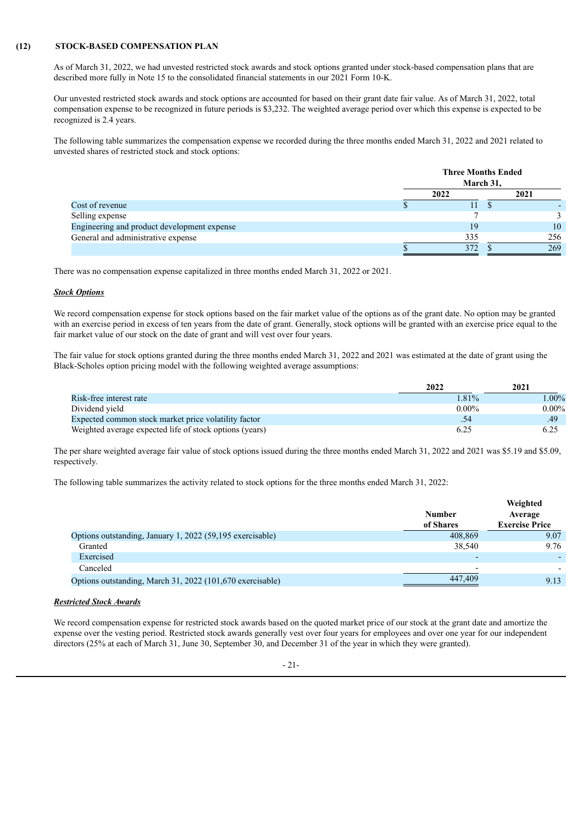## **(12) STOCK-BASED COMPENSATION PLAN**

As of March 31, 2022, we had unvested restricted stock awards and stock options granted under stock-based compensation plans that are described more fully in Note 15 to the consolidated financial statements in our 2021 Form 10-K.

Our unvested restricted stock awards and stock options are accounted for based on their grant date fair value. As of March 31, 2022, total compensation expense to be recognized in future periods is \$3,232. The weighted average period over which this expense is expected to be recognized is 2.4 years.

The following table summarizes the compensation expense we recorded during the three months ended March 31, 2022 and 2021 related to unvested shares of restricted stock and stock options:

|                                             | <b>Three Months Ended</b><br>March 31, |  |      |  |
|---------------------------------------------|----------------------------------------|--|------|--|
|                                             | 2022                                   |  | 2021 |  |
| Cost of revenue                             | ш                                      |  |      |  |
| Selling expense                             |                                        |  |      |  |
| Engineering and product development expense | 19                                     |  | 10   |  |
| General and administrative expense          | 335                                    |  | 256  |  |
|                                             | 372                                    |  | 269  |  |

There was no compensation expense capitalized in three months ended March 31, 2022 or 2021.

#### *Stock Options*

We record compensation expense for stock options based on the fair market value of the options as of the grant date. No option may be granted with an exercise period in excess of ten years from the date of grant. Generally, stock options will be granted with an exercise price equal to the fair market value of our stock on the date of grant and will vest over four years.

The fair value for stock options granted during the three months ended March 31, 2022 and 2021 was estimated at the date of grant using the Black-Scholes option pricing model with the following weighted average assumptions:

|                                                         | 2022     | 2021     |
|---------------------------------------------------------|----------|----------|
| Risk-free interest rate                                 | $.81\%$  | $.00\%$  |
| Dividend vield                                          | $0.00\%$ | $0.00\%$ |
| Expected common stock market price volatility factor    | .54      | .49      |
| Weighted average expected life of stock options (years) |          | 6.25     |

The per share weighted average fair value of stock options issued during the three months ended March 31, 2022 and 2021 was \$5.19 and \$5.09, respectively.

The following table summarizes the activity related to stock options for the three months ended March 31, 2022:

|                                                           | <b>Number</b><br>of Shares | Weighted<br>Average<br><b>Exercise Price</b> |
|-----------------------------------------------------------|----------------------------|----------------------------------------------|
| Options outstanding, January 1, 2022 (59,195 exercisable) | 408.869                    | 9.07                                         |
| Granted                                                   | 38.540                     | 9.76                                         |
| Exercised                                                 | -                          |                                              |
| Canceled                                                  | $\overline{\phantom{0}}$   |                                              |
| Options outstanding, March 31, 2022 (101,670 exercisable) | 447,409                    | 9.13                                         |

#### *Restricted Stock Awards*

We record compensation expense for restricted stock awards based on the quoted market price of our stock at the grant date and amortize the expense over the vesting period. Restricted stock awards generally vest over four years for employees and over one year for our independent directors (25% at each of March 31, June 30, September 30, and December 31 of the year in which they were granted).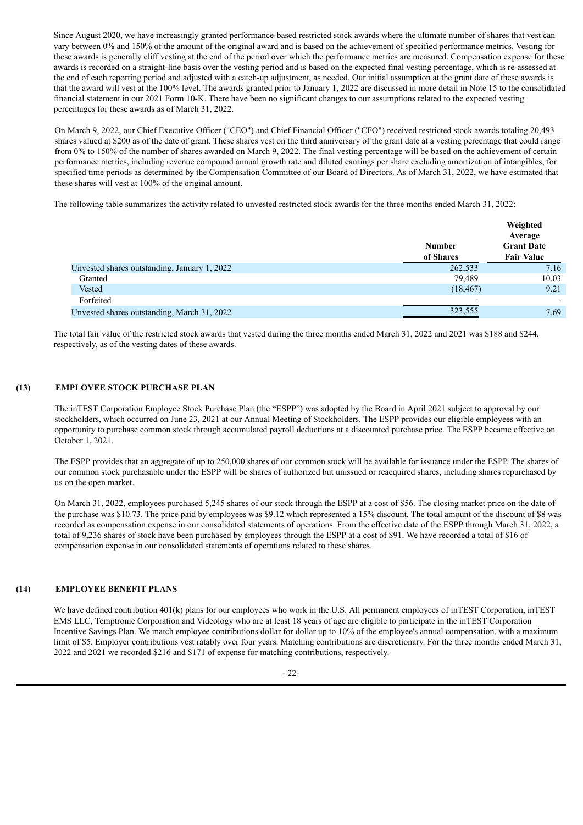Since August 2020, we have increasingly granted performance-based restricted stock awards where the ultimate number of shares that vest can vary between 0% and 150% of the amount of the original award and is based on the achievement of specified performance metrics. Vesting for these awards is generally cliff vesting at the end of the period over which the performance metrics are measured. Compensation expense for these awards is recorded on a straight-line basis over the vesting period and is based on the expected final vesting percentage, which is re-assessed at the end of each reporting period and adjusted with a catch-up adjustment, as needed. Our initial assumption at the grant date of these awards is that the award will vest at the 100% level. The awards granted prior to January 1, 2022 are discussed in more detail in Note 15 to the consolidated financial statement in our 2021 Form 10-K. There have been no significant changes to our assumptions related to the expected vesting percentages for these awards as of March 31, 2022.

On March 9, 2022, our Chief Executive Officer ("CEO") and Chief Financial Officer ("CFO") received restricted stock awards totaling 20,493 shares valued at \$200 as of the date of grant. These shares vest on the third anniversary of the grant date at a vesting percentage that could range from 0% to 150% of the number of shares awarded on March 9, 2022. The final vesting percentage will be based on the achievement of certain performance metrics, including revenue compound annual growth rate and diluted earnings per share excluding amortization of intangibles, for specified time periods as determined by the Compensation Committee of our Board of Directors. As of March 31, 2022, we have estimated that these shares will vest at 100% of the original amount.

The following table summarizes the activity related to unvested restricted stock awards for the three months ended March 31, 2022:

|                                              | <b>Number</b><br>of Shares | Weighted<br>Average<br><b>Grant Date</b><br><b>Fair Value</b> |
|----------------------------------------------|----------------------------|---------------------------------------------------------------|
| Unvested shares outstanding, January 1, 2022 | 262,533                    | 7.16                                                          |
| Granted                                      | 79,489                     | 10.03                                                         |
| Vested                                       | (18, 467)                  | 9.21                                                          |
| Forfeited                                    |                            |                                                               |
| Unvested shares outstanding, March 31, 2022  | 323,555                    | 7.69                                                          |

The total fair value of the restricted stock awards that vested during the three months ended March 31, 2022 and 2021 was \$188 and \$244, respectively, as of the vesting dates of these awards.

## **(13) EMPLOYEE STOCK PURCHASE PLAN**

The inTEST Corporation Employee Stock Purchase Plan (the "ESPP") was adopted by the Board in April 2021 subject to approval by our stockholders, which occurred on June 23, 2021 at our Annual Meeting of Stockholders. The ESPP provides our eligible employees with an opportunity to purchase common stock through accumulated payroll deductions at a discounted purchase price. The ESPP became effective on October 1, 2021.

The ESPP provides that an aggregate of up to 250,000 shares of our common stock will be available for issuance under the ESPP. The shares of our common stock purchasable under the ESPP will be shares of authorized but unissued or reacquired shares, including shares repurchased by us on the open market.

On March 31, 2022, employees purchased 5,245 shares of our stock through the ESPP at a cost of \$56. The closing market price on the date of the purchase was \$10.73. The price paid by employees was \$9.12 which represented a 15% discount. The total amount of the discount of \$8 was recorded as compensation expense in our consolidated statements of operations. From the effective date of the ESPP through March 31, 2022, a total of 9,236 shares of stock have been purchased by employees through the ESPP at a cost of \$91. We have recorded a total of \$16 of compensation expense in our consolidated statements of operations related to these shares.

#### **(14) EMPLOYEE BENEFIT PLANS**

We have defined contribution  $401(k)$  plans for our employees who work in the U.S. All permanent employees of inTEST Corporation, inTEST EMS LLC, Temptronic Corporation and Videology who are at least 18 years of age are eligible to participate in the inTEST Corporation Incentive Savings Plan. We match employee contributions dollar for dollar up to 10% of the employee's annual compensation, with a maximum limit of \$5. Employer contributions vest ratably over four years. Matching contributions are discretionary. For the three months ended March 31, 2022 and 2021 we recorded \$216 and \$171 of expense for matching contributions, respectively.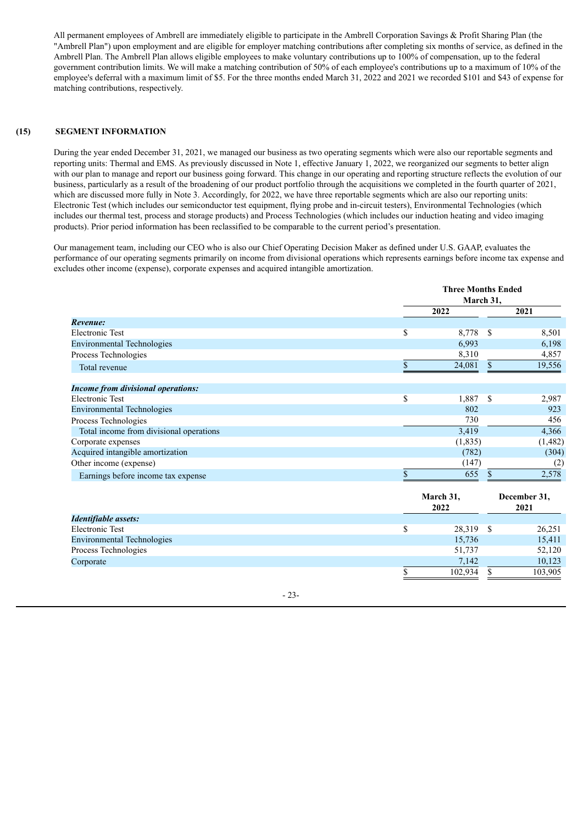All permanent employees of Ambrell are immediately eligible to participate in the Ambrell Corporation Savings & Profit Sharing Plan (the "Ambrell Plan") upon employment and are eligible for employer matching contributions after completing six months of service, as defined in the Ambrell Plan. The Ambrell Plan allows eligible employees to make voluntary contributions up to 100% of compensation, up to the federal government contribution limits. We will make a matching contribution of 50% of each employee's contributions up to a maximum of 10% of the employee's deferral with a maximum limit of \$5. For the three months ended March 31, 2022 and 2021 we recorded \$101 and \$43 of expense for matching contributions, respectively.

## **(15) SEGMENT INFORMATION**

During the year ended December 31, 2021, we managed our business as two operating segments which were also our reportable segments and reporting units: Thermal and EMS. As previously discussed in Note 1, effective January 1, 2022, we reorganized our segments to better align with our plan to manage and report our business going forward. This change in our operating and reporting structure reflects the evolution of our business, particularly as a result of the broadening of our product portfolio through the acquisitions we completed in the fourth quarter of 2021, which are discussed more fully in Note 3. Accordingly, for 2022, we have three reportable segments which are also our reporting units: Electronic Test (which includes our semiconductor test equipment, flying probe and in-circuit testers), Environmental Technologies (which includes our thermal test, process and storage products) and Process Technologies (which includes our induction heating and video imaging products). Prior period information has been reclassified to be comparable to the current period's presentation.

Our management team, including our CEO who is also our Chief Operating Decision Maker as defined under U.S. GAAP, evaluates the performance of our operating segments primarily on income from divisional operations which represents earnings before income tax expense and excludes other income (expense), corporate expenses and acquired intangible amortization.

**Three Months Ended**

|                                           |              | тигее мюния ендеа<br>March 31, |    |                      |
|-------------------------------------------|--------------|--------------------------------|----|----------------------|
|                                           |              | 2022                           |    | 2021                 |
| Revenue:                                  |              |                                |    |                      |
| Electronic Test                           | \$           | 8,778                          | \$ | 8,501                |
| <b>Environmental Technologies</b>         |              | 6,993                          |    | 6,198                |
| Process Technologies                      |              | 8,310                          |    | 4,857                |
| Total revenue                             | $\mathbf{s}$ | 24,081                         | \$ | 19,556               |
| <b>Income from divisional operations:</b> |              |                                |    |                      |
| <b>Electronic Test</b>                    | \$           | 1,887                          | \$ | 2,987                |
| <b>Environmental Technologies</b>         |              | 802                            |    | 923                  |
| Process Technologies                      |              | 730                            |    | 456                  |
| Total income from divisional operations   |              | 3,419                          |    | 4,366                |
| Corporate expenses                        |              | (1,835)                        |    | (1,482)              |
| Acquired intangible amortization          |              | (782)                          |    | (304)                |
| Other income (expense)                    |              | (147)                          |    | (2)                  |
| Earnings before income tax expense        | S            | 655                            | S  | 2,578                |
|                                           |              | March 31,<br>2022              |    | December 31,<br>2021 |
| Identifiable assets:                      |              |                                |    |                      |
| <b>Electronic Test</b>                    | \$           | 28,319                         | S  | 26,251               |

| Electronic Test                   | 28.319  | 26,251  |
|-----------------------------------|---------|---------|
| <b>Environmental Technologies</b> | 15.736  | 15,411  |
| Process Technologies              | 51.737  | 52,120  |
| Corporate                         | 7.142   | 10,123  |
|                                   | 102,934 | 103,905 |

- 23-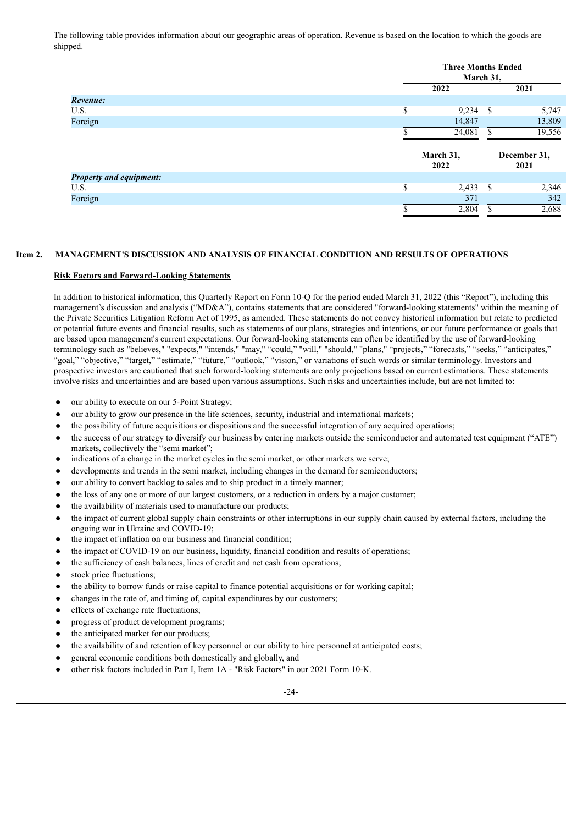The following table provides information about our geographic areas of operation. Revenue is based on the location to which the goods are shipped.

|                                | <b>Three Months Ended</b><br>March 31, |                   |    |                      |  |  |  |  |
|--------------------------------|----------------------------------------|-------------------|----|----------------------|--|--|--|--|
|                                |                                        | 2022              |    | 2021                 |  |  |  |  |
| Revenue:                       |                                        |                   |    |                      |  |  |  |  |
| U.S.                           | \$                                     | 9,234             | -S | 5,747                |  |  |  |  |
| Foreign                        |                                        | 14,847            |    | 13,809               |  |  |  |  |
|                                |                                        | 24,081            |    | 19,556               |  |  |  |  |
|                                |                                        | March 31,<br>2022 |    | December 31,<br>2021 |  |  |  |  |
| <b>Property and equipment:</b> |                                        |                   |    |                      |  |  |  |  |
| U.S.                           | \$                                     | 2,433             | -S | 2,346                |  |  |  |  |
| Foreign                        |                                        | 371               |    | 342                  |  |  |  |  |
|                                |                                        | 2,804             |    | 2,688                |  |  |  |  |

# **Item 2. MANAGEMENT'S DISCUSSION AND ANALYSIS OF FINANCIAL CONDITION AND RESULTS OF OPERATIONS**

### **Risk Factors and Forward-Looking Statements**

In addition to historical information, this Quarterly Report on Form 10-Q for the period ended March 31, 2022 (this "Report"), including this management's discussion and analysis ("MD&A"), contains statements that are considered "forward-looking statements" within the meaning of the Private Securities Litigation Reform Act of 1995, as amended. These statements do not convey historical information but relate to predicted or potential future events and financial results, such as statements of our plans, strategies and intentions, or our future performance or goals that are based upon management's current expectations. Our forward-looking statements can often be identified by the use of forward-looking terminology such as "believes," "expects," "intends," "may," "could," "will," "should," "plans," "projects," "forecasts," "seeks," "anticipates," "goal," "objective," "target," "estimate," "future," "outlook," "vision," or variations of such words or similar terminology. Investors and prospective investors are cautioned that such forward-looking statements are only projections based on current estimations. These statements involve risks and uncertainties and are based upon various assumptions. Such risks and uncertainties include, but are not limited to:

- our ability to execute on our 5-Point Strategy;
- our ability to grow our presence in the life sciences, security, industrial and international markets;
- the possibility of future acquisitions or dispositions and the successful integration of any acquired operations;
- the success of our strategy to diversify our business by entering markets outside the semiconductor and automated test equipment ("ATE") markets, collectively the "semi market";
- indications of a change in the market cycles in the semi market, or other markets we serve;
- developments and trends in the semi market, including changes in the demand for semiconductors;
- our ability to convert backlog to sales and to ship product in a timely manner;
- the loss of any one or more of our largest customers, or a reduction in orders by a major customer;
- the availability of materials used to manufacture our products;
- the impact of current global supply chain constraints or other interruptions in our supply chain caused by external factors, including the ongoing war in Ukraine and COVID-19;
- the impact of inflation on our business and financial condition;
- the impact of COVID-19 on our business, liquidity, financial condition and results of operations;
- the sufficiency of cash balances, lines of credit and net cash from operations;
- stock price fluctuations:
- the ability to borrow funds or raise capital to finance potential acquisitions or for working capital;
- changes in the rate of, and timing of, capital expenditures by our customers;
- effects of exchange rate fluctuations;
- progress of product development programs;
- the anticipated market for our products;
- the availability of and retention of key personnel or our ability to hire personnel at anticipated costs;
- general economic conditions both domestically and globally, and
- other risk factors included in Part I, Item 1A "Risk Factors" in our 2021 Form 10-K.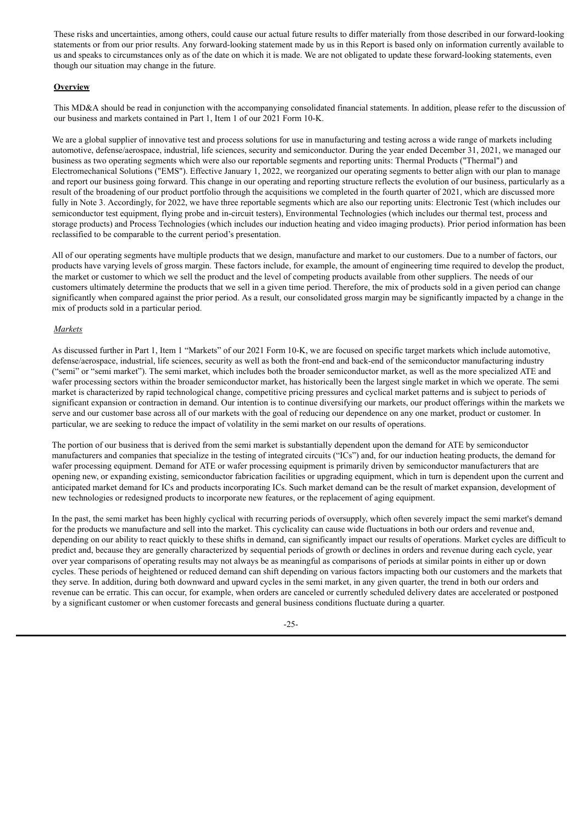These risks and uncertainties, among others, could cause our actual future results to differ materially from those described in our forward-looking statements or from our prior results. Any forward-looking statement made by us in this Report is based only on information currently available to us and speaks to circumstances only as of the date on which it is made. We are not obligated to update these forward-looking statements, even though our situation may change in the future.

# **Overview**

This MD&A should be read in conjunction with the accompanying consolidated financial statements. In addition, please refer to the discussion of our business and markets contained in Part 1, Item 1 of our 2021 Form 10-K.

We are a global supplier of innovative test and process solutions for use in manufacturing and testing across a wide range of markets including automotive, defense/aerospace, industrial, life sciences, security and semiconductor. During the year ended December 31, 2021, we managed our business as two operating segments which were also our reportable segments and reporting units: Thermal Products ("Thermal") and Electromechanical Solutions ("EMS"). Effective January 1, 2022, we reorganized our operating segments to better align with our plan to manage and report our business going forward. This change in our operating and reporting structure reflects the evolution of our business, particularly as a result of the broadening of our product portfolio through the acquisitions we completed in the fourth quarter of 2021, which are discussed more fully in Note 3. Accordingly, for 2022, we have three reportable segments which are also our reporting units: Electronic Test (which includes our semiconductor test equipment, flying probe and in-circuit testers), Environmental Technologies (which includes our thermal test, process and storage products) and Process Technologies (which includes our induction heating and video imaging products). Prior period information has been reclassified to be comparable to the current period's presentation.

All of our operating segments have multiple products that we design, manufacture and market to our customers. Due to a number of factors, our products have varying levels of gross margin. These factors include, for example, the amount of engineering time required to develop the product, the market or customer to which we sell the product and the level of competing products available from other suppliers. The needs of our customers ultimately determine the products that we sell in a given time period. Therefore, the mix of products sold in a given period can change significantly when compared against the prior period. As a result, our consolidated gross margin may be significantly impacted by a change in the mix of products sold in a particular period.

## *Markets*

As discussed further in Part 1, Item 1 "Markets" of our 2021 Form 10-K, we are focused on specific target markets which include automotive, defense/aerospace, industrial, life sciences, security as well as both the front-end and back-end of the semiconductor manufacturing industry ("semi" or "semi market"). The semi market, which includes both the broader semiconductor market, as well as the more specialized ATE and wafer processing sectors within the broader semiconductor market, has historically been the largest single market in which we operate. The semi market is characterized by rapid technological change, competitive pricing pressures and cyclical market patterns and is subject to periods of significant expansion or contraction in demand. Our intention is to continue diversifying our markets, our product offerings within the markets we serve and our customer base across all of our markets with the goal of reducing our dependence on any one market, product or customer. In particular, we are seeking to reduce the impact of volatility in the semi market on our results of operations.

The portion of our business that is derived from the semi market is substantially dependent upon the demand for ATE by semiconductor manufacturers and companies that specialize in the testing of integrated circuits ("ICs") and, for our induction heating products, the demand for wafer processing equipment. Demand for ATE or wafer processing equipment is primarily driven by semiconductor manufacturers that are opening new, or expanding existing, semiconductor fabrication facilities or upgrading equipment, which in turn is dependent upon the current and anticipated market demand for ICs and products incorporating ICs. Such market demand can be the result of market expansion, development of new technologies or redesigned products to incorporate new features, or the replacement of aging equipment.

In the past, the semi market has been highly cyclical with recurring periods of oversupply, which often severely impact the semi market's demand for the products we manufacture and sell into the market. This cyclicality can cause wide fluctuations in both our orders and revenue and, depending on our ability to react quickly to these shifts in demand, can significantly impact our results of operations. Market cycles are difficult to predict and, because they are generally characterized by sequential periods of growth or declines in orders and revenue during each cycle, year over year comparisons of operating results may not always be as meaningful as comparisons of periods at similar points in either up or down cycles. These periods of heightened or reduced demand can shift depending on various factors impacting both our customers and the markets that they serve. In addition, during both downward and upward cycles in the semi market, in any given quarter, the trend in both our orders and revenue can be erratic. This can occur, for example, when orders are canceled or currently scheduled delivery dates are accelerated or postponed by a significant customer or when customer forecasts and general business conditions fluctuate during a quarter.

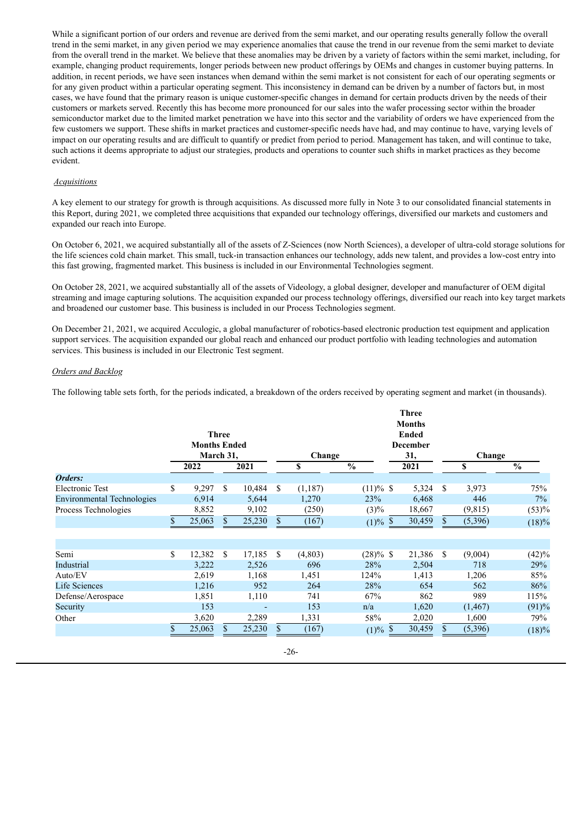While a significant portion of our orders and revenue are derived from the semi market, and our operating results generally follow the overall trend in the semi market, in any given period we may experience anomalies that cause the trend in our revenue from the semi market to deviate from the overall trend in the market. We believe that these anomalies may be driven by a variety of factors within the semi market, including, for example, changing product requirements, longer periods between new product offerings by OEMs and changes in customer buying patterns. In addition, in recent periods, we have seen instances when demand within the semi market is not consistent for each of our operating segments or for any given product within a particular operating segment. This inconsistency in demand can be driven by a number of factors but, in most cases, we have found that the primary reason is unique customer-specific changes in demand for certain products driven by the needs of their customers or markets served. Recently this has become more pronounced for our sales into the wafer processing sector within the broader semiconductor market due to the limited market penetration we have into this sector and the variability of orders we have experienced from the few customers we support. These shifts in market practices and customer-specific needs have had, and may continue to have, varying levels of impact on our operating results and are difficult to quantify or predict from period to period. Management has taken, and will continue to take, such actions it deems appropriate to adjust our strategies, products and operations to counter such shifts in market practices as they become evident.

#### *Acquisitions*

A key element to our strategy for growth is through acquisitions. As discussed more fully in Note 3 to our consolidated financial statements in this Report, during 2021, we completed three acquisitions that expanded our technology offerings, diversified our markets and customers and expanded our reach into Europe.

On October 6, 2021, we acquired substantially all of the assets of Z-Sciences (now North Sciences), a developer of ultra-cold storage solutions for the life sciences cold chain market. This small, tuck-in transaction enhances our technology, adds new talent, and provides a low-cost entry into this fast growing, fragmented market. This business is included in our Environmental Technologies segment.

On October 28, 2021, we acquired substantially all of the assets of Videology, a global designer, developer and manufacturer of OEM digital streaming and image capturing solutions. The acquisition expanded our process technology offerings, diversified our reach into key target markets and broadened our customer base. This business is included in our Process Technologies segment.

On December 21, 2021, we acquired Acculogic, a global manufacturer of robotics-based electronic production test equipment and application support services. The acquisition expanded our global reach and enhanced our product portfolio with leading technologies and automation services. This business is included in our Electronic Test segment.

# *Orders and Backlog*

The following table sets forth, for the periods indicated, a breakdown of the orders received by operating segment and market (in thousands).

|                                   | <b>Three</b><br><b>Months Ended</b><br>March 31, |        |               |        | Change        |         |               | <b>Three</b><br><b>Months</b><br><b>Ended</b><br><b>December</b><br>31, |               | Change   |               |  |
|-----------------------------------|--------------------------------------------------|--------|---------------|--------|---------------|---------|---------------|-------------------------------------------------------------------------|---------------|----------|---------------|--|
|                                   |                                                  | 2022   |               | 2021   |               | \$      | $\frac{0}{0}$ | 2021                                                                    |               | \$       | $\frac{0}{0}$ |  |
| Orders:                           |                                                  |        |               |        |               |         |               |                                                                         |               |          |               |  |
| <b>Electronic Test</b>            | \$                                               | 9,297  | <sup>\$</sup> | 10,484 | <sup>\$</sup> | (1,187) | $(11)\%$ \$   | 5,324                                                                   | \$            | 3,973    | 75%           |  |
| <b>Environmental Technologies</b> |                                                  | 6,914  |               | 5,644  |               | 1,270   | 23%           | 6,468                                                                   |               | 446      | $7\%$         |  |
| Process Technologies              |                                                  | 8,852  |               | 9,102  |               | (250)   | $(3)\%$       | 18,667                                                                  |               | (9,815)  | (53)%         |  |
|                                   |                                                  | 25,063 | \$.           | 25,230 | \$            | (167)   | $(1) \%$ \$   | 30,459                                                                  | \$            | (5, 396) | (18)%         |  |
|                                   |                                                  |        |               |        |               |         |               |                                                                         |               |          |               |  |
| Semi                              | \$                                               | 12,382 | -S            | 17,185 | -S            | (4,803) | $(28)\%$ \$   | 21,386                                                                  | <sup>\$</sup> | (9,004)  | (42)%         |  |
| Industrial                        |                                                  | 3,222  |               | 2,526  |               | 696     | 28%           | 2,504                                                                   |               | 718      | 29%           |  |
| Auto/EV                           |                                                  | 2,619  |               | 1,168  |               | 1,451   | 124%          | 1,413                                                                   |               | 1,206    | 85%           |  |
| <b>Life Sciences</b>              |                                                  | 1,216  |               | 952    |               | 264     | 28%           | 654                                                                     |               | 562      | 86%           |  |
| Defense/Aerospace                 |                                                  | 1,851  |               | 1,110  |               | 741     | 67%           | 862                                                                     |               | 989      | 115%          |  |
| Security                          |                                                  | 153    |               |        |               | 153     | n/a           | 1,620                                                                   |               | (1, 467) | (91)%         |  |
| Other                             |                                                  | 3,620  |               | 2,289  |               | 1,331   | 58%           | 2,020                                                                   |               | 1,600    | 79%           |  |
|                                   |                                                  | 25,063 | \$.           | 25,230 | S             | (167)   | $(1) \%$ \$   | 30,459                                                                  | \$            | (5,396)  | (18)%         |  |

-26-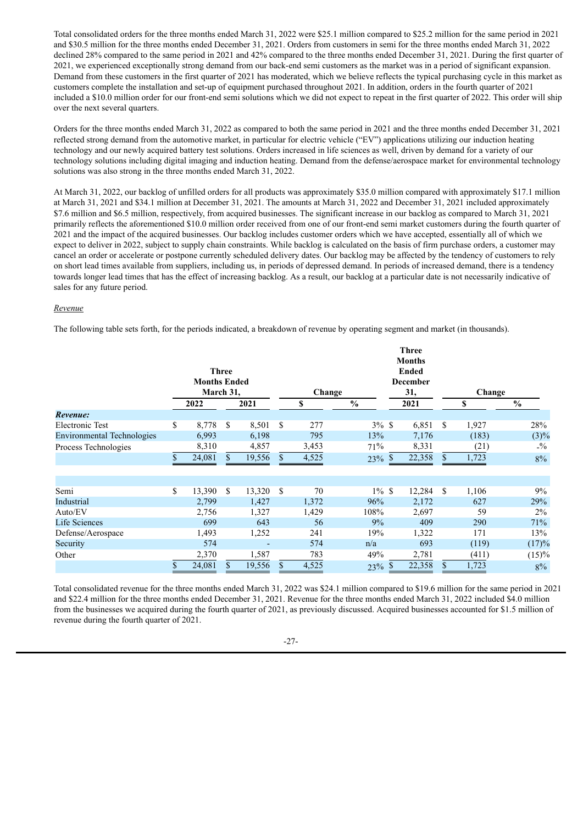Total consolidated orders for the three months ended March 31, 2022 were \$25.1 million compared to \$25.2 million for the same period in 2021 and \$30.5 million for the three months ended December 31, 2021. Orders from customers in semi for the three months ended March 31, 2022 declined 28% compared to the same period in 2021 and 42% compared to the three months ended December 31, 2021. During the first quarter of 2021, we experienced exceptionally strong demand from our back-end semi customers as the market was in a period of significant expansion. Demand from these customers in the first quarter of 2021 has moderated, which we believe reflects the typical purchasing cycle in this market as customers complete the installation and set-up of equipment purchased throughout 2021. In addition, orders in the fourth quarter of 2021 included a \$10.0 million order for our front-end semi solutions which we did not expect to repeat in the first quarter of 2022. This order will ship over the next several quarters.

Orders for the three months ended March 31, 2022 as compared to both the same period in 2021 and the three months ended December 31, 2021 reflected strong demand from the automotive market, in particular for electric vehicle ("EV") applications utilizing our induction heating technology and our newly acquired battery test solutions. Orders increased in life sciences as well, driven by demand for a variety of our technology solutions including digital imaging and induction heating. Demand from the defense/aerospace market for environmental technology solutions was also strong in the three months ended March 31, 2022.

At March 31, 2022, our backlog of unfilled orders for all products was approximately \$35.0 million compared with approximately \$17.1 million at March 31, 2021 and \$34.1 million at December 31, 2021. The amounts at March 31, 2022 and December 31, 2021 included approximately \$7.6 million and \$6.5 million, respectively, from acquired businesses. The significant increase in our backlog as compared to March 31, 2021 primarily reflects the aforementioned \$10.0 million order received from one of our front-end semi market customers during the fourth quarter of 2021 and the impact of the acquired businesses. Our backlog includes customer orders which we have accepted, essentially all of which we expect to deliver in 2022, subject to supply chain constraints. While backlog is calculated on the basis of firm purchase orders, a customer may cancel an order or accelerate or postpone currently scheduled delivery dates. Our backlog may be affected by the tendency of customers to rely on short lead times available from suppliers, including us, in periods of depressed demand. In periods of increased demand, there is a tendency towards longer lead times that has the effect of increasing backlog. As a result, our backlog at a particular date is not necessarily indicative of sales for any future period.

#### *Revenue*

The following table sets forth, for the periods indicated, a breakdown of revenue by operating segment and market (in thousands).

|                                   |                     |           |              |        |               |       |               |                 | <b>Three</b>  |        |       |                 |
|-----------------------------------|---------------------|-----------|--------------|--------|---------------|-------|---------------|-----------------|---------------|--------|-------|-----------------|
|                                   |                     |           |              |        |               |       |               |                 | <b>Months</b> |        |       |                 |
|                                   |                     |           | <b>Three</b> |        |               |       |               |                 | <b>Ended</b>  |        |       |                 |
|                                   | <b>Months Ended</b> |           |              |        |               |       |               | <b>December</b> |               |        |       |                 |
|                                   |                     | March 31, |              |        | Change        |       |               | 31,             |               | Change |       |                 |
|                                   |                     | 2022      |              | 2021   |               | \$    | $\frac{0}{0}$ |                 | 2021          |        | \$    | $\frac{0}{0}$   |
| Revenue:                          |                     |           |              |        |               |       |               |                 |               |        |       |                 |
| Electronic Test                   | \$                  | 8,778     | S            | 8,501  | S             | 277   | $3\%$ \$      |                 | 6,851         | \$     | 1,927 | 28%             |
| <b>Environmental Technologies</b> |                     | 6,993     |              | 6,198  |               | 795   | 13%           |                 | 7,176         |        | (183) | $(3)\%$         |
| Process Technologies              |                     | 8,310     |              | 4,857  |               | 3,453 | 71%           |                 | 8,331         |        | (21)  | $- \frac{9}{6}$ |
|                                   | \$                  | 24,081    | \$           | 19,556 | \$            | 4,525 | 23%           | S               | 22,358        | S      | 1,723 | $8\%$           |
|                                   |                     |           |              |        |               |       |               |                 |               |        |       |                 |
|                                   |                     |           |              |        |               |       |               |                 |               |        |       |                 |
| Semi                              | \$                  | 13,390    | \$           | 13,320 | <sup>\$</sup> | 70    | $1\%$ \$      |                 | 12,284        | \$     | 1,106 | 9%              |
| Industrial                        |                     | 2,799     |              | 1,427  |               | 1,372 | 96%           |                 | 2,172         |        | 627   | 29%             |
| Auto/EV                           |                     | 2,756     |              | 1,327  |               | 1,429 | 108%          |                 | 2,697         |        | 59    | $2\%$           |
| <b>Life Sciences</b>              |                     | 699       |              | 643    |               | 56    | 9%            |                 | 409           |        | 290   | 71%             |
| Defense/Aerospace                 |                     | 1,493     |              | 1,252  |               | 241   | 19%           |                 | 1,322         |        | 171   | 13%             |
| Security                          |                     | 574       |              |        |               | 574   | n/a           |                 | 693           |        | (119) | (17)%           |
| Other                             |                     | 2,370     |              | 1,587  |               | 783   | 49%           |                 | 2,781         |        | (411) | (15)%           |
|                                   |                     | 24,081    | \$           | 19,556 | \$            | 4,525 | 23%           |                 | 22,358        |        | 1,723 | $8\%$           |

Total consolidated revenue for the three months ended March 31, 2022 was \$24.1 million compared to \$19.6 million for the same period in 2021 and \$22.4 million for the three months ended December 31, 2021. Revenue for the three months ended March 31, 2022 included \$4.0 million from the businesses we acquired during the fourth quarter of 2021, as previously discussed. Acquired businesses accounted for \$1.5 million of revenue during the fourth quarter of 2021.

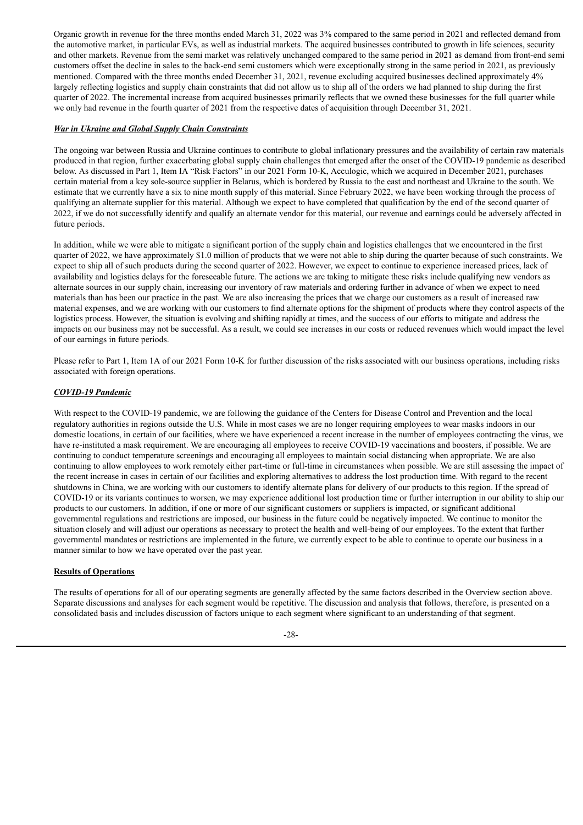Organic growth in revenue for the three months ended March 31, 2022 was 3% compared to the same period in 2021 and reflected demand from the automotive market, in particular EVs, as well as industrial markets. The acquired businesses contributed to growth in life sciences, security and other markets. Revenue from the semi market was relatively unchanged compared to the same period in 2021 as demand from front-end semi customers offset the decline in sales to the back-end semi customers which were exceptionally strong in the same period in 2021, as previously mentioned. Compared with the three months ended December 31, 2021, revenue excluding acquired businesses declined approximately 4% largely reflecting logistics and supply chain constraints that did not allow us to ship all of the orders we had planned to ship during the first quarter of 2022. The incremental increase from acquired businesses primarily reflects that we owned these businesses for the full quarter while we only had revenue in the fourth quarter of 2021 from the respective dates of acquisition through December 31, 2021.

#### *War in Ukraine and Global Supply Chain Constraints*

The ongoing war between Russia and Ukraine continues to contribute to global inflationary pressures and the availability of certain raw materials produced in that region, further exacerbating global supply chain challenges that emerged after the onset of the COVID-19 pandemic as described below. As discussed in Part 1, Item IA "Risk Factors" in our 2021 Form 10-K, Acculogic, which we acquired in December 2021, purchases certain material from a key sole-source supplier in Belarus, which is bordered by Russia to the east and northeast and Ukraine to the south. We estimate that we currently have a six to nine month supply of this material. Since February 2022, we have been working through the process of qualifying an alternate supplier for this material. Although we expect to have completed that qualification by the end of the second quarter of 2022, if we do not successfully identify and qualify an alternate vendor for this material, our revenue and earnings could be adversely affected in future periods.

In addition, while we were able to mitigate a significant portion of the supply chain and logistics challenges that we encountered in the first quarter of 2022, we have approximately \$1.0 million of products that we were not able to ship during the quarter because of such constraints. We expect to ship all of such products during the second quarter of 2022. However, we expect to continue to experience increased prices, lack of availability and logistics delays for the foreseeable future. The actions we are taking to mitigate these risks include qualifying new vendors as alternate sources in our supply chain, increasing our inventory of raw materials and ordering further in advance of when we expect to need materials than has been our practice in the past. We are also increasing the prices that we charge our customers as a result of increased raw material expenses, and we are working with our customers to find alternate options for the shipment of products where they control aspects of the logistics process. However, the situation is evolving and shifting rapidly at times, and the success of our efforts to mitigate and address the impacts on our business may not be successful. As a result, we could see increases in our costs or reduced revenues which would impact the level of our earnings in future periods.

Please refer to Part 1, Item 1A of our 2021 Form 10-K for further discussion of the risks associated with our business operations, including risks associated with foreign operations.

#### *COVID-19 Pandemic*

With respect to the COVID-19 pandemic, we are following the guidance of the Centers for Disease Control and Prevention and the local regulatory authorities in regions outside the U.S. While in most cases we are no longer requiring employees to wear masks indoors in our domestic locations, in certain of our facilities, where we have experienced a recent increase in the number of employees contracting the virus, we have re-instituted a mask requirement. We are encouraging all employees to receive COVID-19 vaccinations and boosters, if possible. We are continuing to conduct temperature screenings and encouraging all employees to maintain social distancing when appropriate. We are also continuing to allow employees to work remotely either part-time or full-time in circumstances when possible. We are still assessing the impact of the recent increase in cases in certain of our facilities and exploring alternatives to address the lost production time. With regard to the recent shutdowns in China, we are working with our customers to identify alternate plans for delivery of our products to this region. If the spread of COVID-19 or its variants continues to worsen, we may experience additional lost production time or further interruption in our ability to ship our products to our customers. In addition, if one or more of our significant customers or suppliers is impacted, or significant additional governmental regulations and restrictions are imposed, our business in the future could be negatively impacted. We continue to monitor the situation closely and will adjust our operations as necessary to protect the health and well-being of our employees. To the extent that further governmental mandates or restrictions are implemented in the future, we currently expect to be able to continue to operate our business in a manner similar to how we have operated over the past year.

# **Results of Operations**

The results of operations for all of our operating segments are generally affected by the same factors described in the Overview section above. Separate discussions and analyses for each segment would be repetitive. The discussion and analysis that follows, therefore, is presented on a consolidated basis and includes discussion of factors unique to each segment where significant to an understanding of that segment.

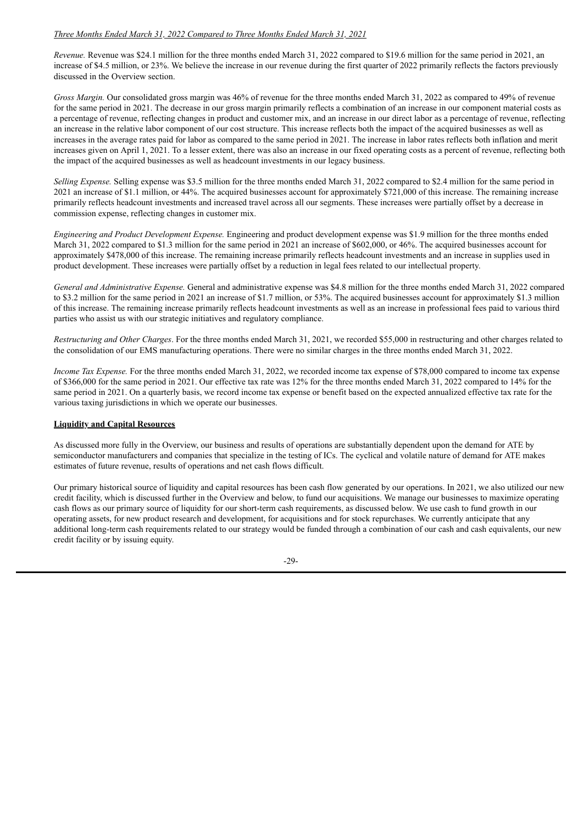# *Three Months Ended March 31, 2022 Compared to Three Months Ended March 31, 2021*

*Revenue.* Revenue was \$24.1 million for the three months ended March 31, 2022 compared to \$19.6 million for the same period in 2021, an increase of \$4.5 million, or 23%. We believe the increase in our revenue during the first quarter of 2022 primarily reflects the factors previously discussed in the Overview section.

*Gross Margin.* Our consolidated gross margin was 46% of revenue for the three months ended March 31, 2022 as compared to 49% of revenue for the same period in 2021. The decrease in our gross margin primarily reflects a combination of an increase in our component material costs as a percentage of revenue, reflecting changes in product and customer mix, and an increase in our direct labor as a percentage of revenue, reflecting an increase in the relative labor component of our cost structure. This increase reflects both the impact of the acquired businesses as well as increases in the average rates paid for labor as compared to the same period in 2021. The increase in labor rates reflects both inflation and merit increases given on April 1, 2021. To a lesser extent, there was also an increase in our fixed operating costs as a percent of revenue, reflecting both the impact of the acquired businesses as well as headcount investments in our legacy business.

*Selling Expense.* Selling expense was \$3.5 million for the three months ended March 31, 2022 compared to \$2.4 million for the same period in 2021 an increase of \$1.1 million, or 44%. The acquired businesses account for approximately \$721,000 of this increase. The remaining increase primarily reflects headcount investments and increased travel across all our segments. These increases were partially offset by a decrease in commission expense, reflecting changes in customer mix.

*Engineering and Product Development Expense.* Engineering and product development expense was \$1.9 million for the three months ended March 31, 2022 compared to \$1.3 million for the same period in 2021 an increase of \$602,000, or 46%. The acquired businesses account for approximately \$478,000 of this increase. The remaining increase primarily reflects headcount investments and an increase in supplies used in product development. These increases were partially offset by a reduction in legal fees related to our intellectual property.

*General and Administrative Expense.* General and administrative expense was \$4.8 million for the three months ended March 31, 2022 compared to \$3.2 million for the same period in 2021 an increase of \$1.7 million, or 53%. The acquired businesses account for approximately \$1.3 million of this increase. The remaining increase primarily reflects headcount investments as well as an increase in professional fees paid to various third parties who assist us with our strategic initiatives and regulatory compliance.

*Restructuring and Other Charges*. For the three months ended March 31, 2021, we recorded \$55,000 in restructuring and other charges related to the consolidation of our EMS manufacturing operations. There were no similar charges in the three months ended March 31, 2022.

*Income Tax Expense.* For the three months ended March 31, 2022, we recorded income tax expense of \$78,000 compared to income tax expense of \$366,000 for the same period in 2021. Our effective tax rate was 12% for the three months ended March 31, 2022 compared to 14% for the same period in 2021. On a quarterly basis, we record income tax expense or benefit based on the expected annualized effective tax rate for the various taxing jurisdictions in which we operate our businesses.

# **Liquidity and Capital Resources**

As discussed more fully in the Overview, our business and results of operations are substantially dependent upon the demand for ATE by semiconductor manufacturers and companies that specialize in the testing of ICs. The cyclical and volatile nature of demand for ATE makes estimates of future revenue, results of operations and net cash flows difficult.

Our primary historical source of liquidity and capital resources has been cash flow generated by our operations. In 2021, we also utilized our new credit facility, which is discussed further in the Overview and below, to fund our acquisitions. We manage our businesses to maximize operating cash flows as our primary source of liquidity for our short-term cash requirements, as discussed below. We use cash to fund growth in our operating assets, for new product research and development, for acquisitions and for stock repurchases. We currently anticipate that any additional long-term cash requirements related to our strategy would be funded through a combination of our cash and cash equivalents, our new credit facility or by issuing equity.

-29-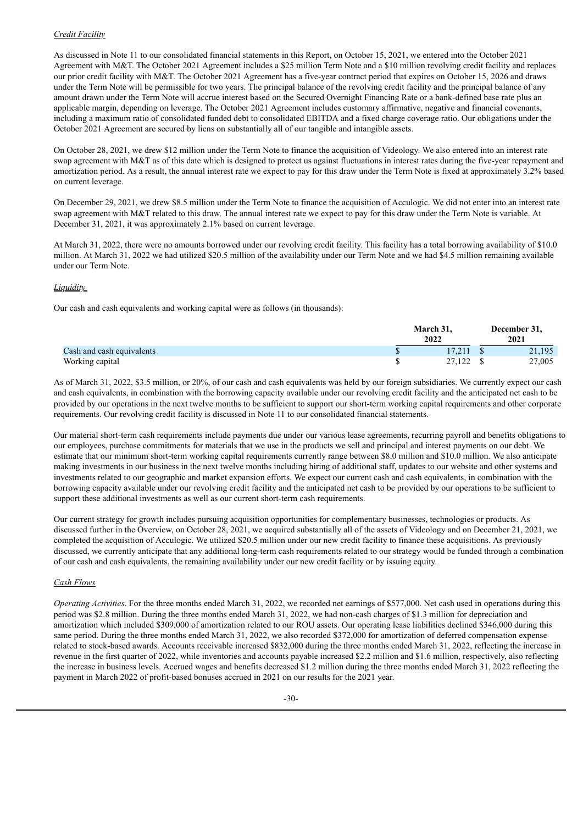# *Credit Facility*

As discussed in Note 11 to our consolidated financial statements in this Report, on October 15, 2021, we entered into the October 2021 Agreement with M&T. The October 2021 Agreement includes a \$25 million Term Note and a \$10 million revolving credit facility and replaces our prior credit facility with M&T. The October 2021 Agreement has a five-year contract period that expires on October 15, 2026 and draws under the Term Note will be permissible for two years. The principal balance of the revolving credit facility and the principal balance of any amount drawn under the Term Note will accrue interest based on the Secured Overnight Financing Rate or a bank-defined base rate plus an applicable margin, depending on leverage. The October 2021 Agreement includes customary affirmative, negative and financial covenants, including a maximum ratio of consolidated funded debt to consolidated EBITDA and a fixed charge coverage ratio. Our obligations under the October 2021 Agreement are secured by liens on substantially all of our tangible and intangible assets.

On October 28, 2021, we drew \$12 million under the Term Note to finance the acquisition of Videology. We also entered into an interest rate swap agreement with M&T as of this date which is designed to protect us against fluctuations in interest rates during the five-year repayment and amortization period. As a result, the annual interest rate we expect to pay for this draw under the Term Note is fixed at approximately 3.2% based on current leverage.

On December 29, 2021, we drew \$8.5 million under the Term Note to finance the acquisition of Acculogic. We did not enter into an interest rate swap agreement with M&T related to this draw. The annual interest rate we expect to pay for this draw under the Term Note is variable. At December 31, 2021, it was approximately 2.1% based on current leverage.

At March 31, 2022, there were no amounts borrowed under our revolving credit facility. This facility has a total borrowing availability of \$10.0 million. At March 31, 2022 we had utilized \$20.5 million of the availability under our Term Note and we had \$4.5 million remaining available under our Term Note.

## *Liquidity*

Our cash and cash equivalents and working capital were as follows (in thousands):

|                           | March 31.<br>2022 | December 31,<br>2021 |        |  |
|---------------------------|-------------------|----------------------|--------|--|
| Cash and cash equivalents | 17.211            |                      | 21,195 |  |
| Working capital           | 27.122 \$         |                      | 27,005 |  |

As of March 31, 2022, \$3.5 million, or 20%, of our cash and cash equivalents was held by our foreign subsidiaries. We currently expect our cash and cash equivalents, in combination with the borrowing capacity available under our revolving credit facility and the anticipated net cash to be provided by our operations in the next twelve months to be sufficient to support our short-term working capital requirements and other corporate requirements. Our revolving credit facility is discussed in Note 11 to our consolidated financial statements.

Our material short-term cash requirements include payments due under our various lease agreements, recurring payroll and benefits obligations to our employees, purchase commitments for materials that we use in the products we sell and principal and interest payments on our debt. We estimate that our minimum short-term working capital requirements currently range between \$8.0 million and \$10.0 million. We also anticipate making investments in our business in the next twelve months including hiring of additional staff, updates to our website and other systems and investments related to our geographic and market expansion efforts. We expect our current cash and cash equivalents, in combination with the borrowing capacity available under our revolving credit facility and the anticipated net cash to be provided by our operations to be sufficient to support these additional investments as well as our current short-term cash requirements.

Our current strategy for growth includes pursuing acquisition opportunities for complementary businesses, technologies or products. As discussed further in the Overview, on October 28, 2021, we acquired substantially all of the assets of Videology and on December 21, 2021, we completed the acquisition of Acculogic. We utilized \$20.5 million under our new credit facility to finance these acquisitions. As previously discussed, we currently anticipate that any additional long-term cash requirements related to our strategy would be funded through a combination of our cash and cash equivalents, the remaining availability under our new credit facility or by issuing equity.

# *Cash Flows*

*Operating Activities*. For the three months ended March 31, 2022, we recorded net earnings of \$577,000. Net cash used in operations during this period was \$2.8 million. During the three months ended March 31, 2022, we had non-cash charges of \$1.3 million for depreciation and amortization which included \$309,000 of amortization related to our ROU assets. Our operating lease liabilities declined \$346,000 during this same period. During the three months ended March 31, 2022, we also recorded \$372,000 for amortization of deferred compensation expense related to stock-based awards. Accounts receivable increased \$832,000 during the three months ended March 31, 2022, reflecting the increase in revenue in the first quarter of 2022, while inventories and accounts payable increased \$2.2 million and \$1.6 million, respectively, also reflecting the increase in business levels. Accrued wages and benefits decreased \$1.2 million during the three months ended March 31, 2022 reflecting the payment in March 2022 of profit-based bonuses accrued in 2021 on our results for the 2021 year.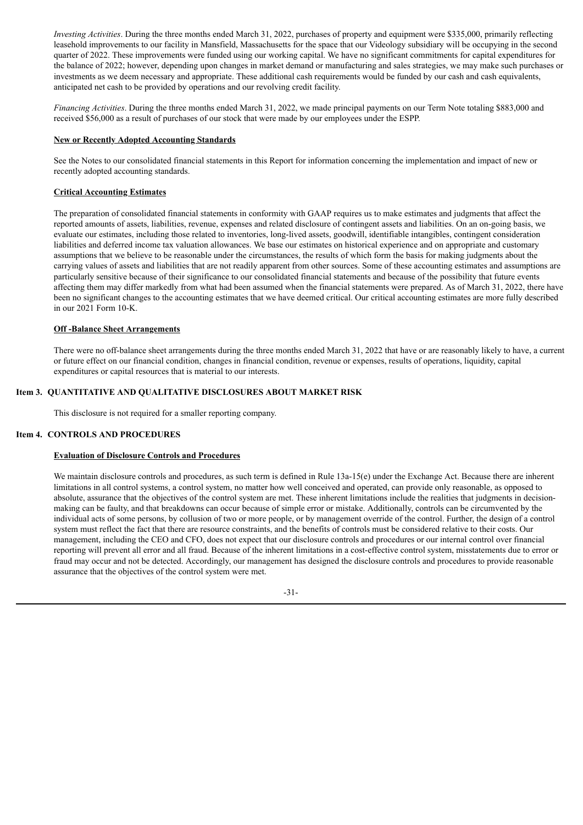*Investing Activities*. During the three months ended March 31, 2022, purchases of property and equipment were \$335,000, primarily reflecting leasehold improvements to our facility in Mansfield, Massachusetts for the space that our Videology subsidiary will be occupying in the second quarter of 2022. These improvements were funded using our working capital. We have no significant commitments for capital expenditures for the balance of 2022; however, depending upon changes in market demand or manufacturing and sales strategies, we may make such purchases or investments as we deem necessary and appropriate. These additional cash requirements would be funded by our cash and cash equivalents, anticipated net cash to be provided by operations and our revolving credit facility.

*Financing Activities*. During the three months ended March 31, 2022, we made principal payments on our Term Note totaling \$883,000 and received \$56,000 as a result of purchases of our stock that were made by our employees under the ESPP.

## **New or Recently Adopted Accounting Standards**

See the Notes to our consolidated financial statements in this Report for information concerning the implementation and impact of new or recently adopted accounting standards.

## **Critical Accounting Estimates**

The preparation of consolidated financial statements in conformity with GAAP requires us to make estimates and judgments that affect the reported amounts of assets, liabilities, revenue, expenses and related disclosure of contingent assets and liabilities. On an on-going basis, we evaluate our estimates, including those related to inventories, long-lived assets, goodwill, identifiable intangibles, contingent consideration liabilities and deferred income tax valuation allowances. We base our estimates on historical experience and on appropriate and customary assumptions that we believe to be reasonable under the circumstances, the results of which form the basis for making judgments about the carrying values of assets and liabilities that are not readily apparent from other sources. Some of these accounting estimates and assumptions are particularly sensitive because of their significance to our consolidated financial statements and because of the possibility that future events affecting them may differ markedly from what had been assumed when the financial statements were prepared. As of March 31, 2022, there have been no significant changes to the accounting estimates that we have deemed critical. Our critical accounting estimates are more fully described in our 2021 Form 10-K.

#### **Off -Balance Sheet Arrangements**

There were no off-balance sheet arrangements during the three months ended March 31, 2022 that have or are reasonably likely to have, a current or future effect on our financial condition, changes in financial condition, revenue or expenses, results of operations, liquidity, capital expenditures or capital resources that is material to our interests.

#### **Item 3. QUANTITATIVE AND QUALITATIVE DISCLOSURES ABOUT MARKET RISK**

This disclosure is not required for a smaller reporting company.

#### **Item 4. CONTROLS AND PROCEDURES**

#### **Evaluation of Disclosure Controls and Procedures**

We maintain disclosure controls and procedures, as such term is defined in Rule 13a-15(e) under the Exchange Act. Because there are inherent limitations in all control systems, a control system, no matter how well conceived and operated, can provide only reasonable, as opposed to absolute, assurance that the objectives of the control system are met. These inherent limitations include the realities that judgments in decisionmaking can be faulty, and that breakdowns can occur because of simple error or mistake. Additionally, controls can be circumvented by the individual acts of some persons, by collusion of two or more people, or by management override of the control. Further, the design of a control system must reflect the fact that there are resource constraints, and the benefits of controls must be considered relative to their costs. Our management, including the CEO and CFO, does not expect that our disclosure controls and procedures or our internal control over financial reporting will prevent all error and all fraud. Because of the inherent limitations in a cost-effective control system, misstatements due to error or fraud may occur and not be detected. Accordingly, our management has designed the disclosure controls and procedures to provide reasonable assurance that the objectives of the control system were met.

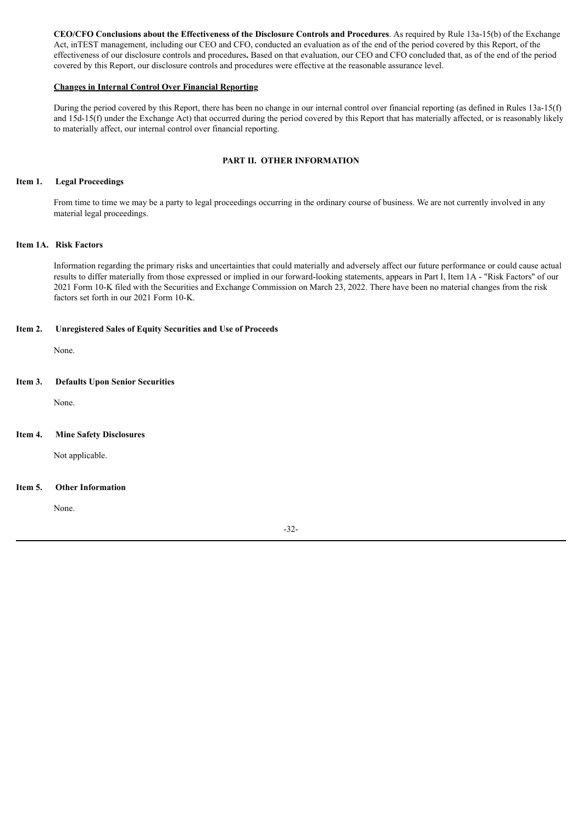**CEO/CFO Conclusions about the Effectiveness of the Disclosure Controls and Procedures**. As required by Rule 13a-15(b) of the Exchange Act, inTEST management, including our CEO and CFO, conducted an evaluation as of the end of the period covered by this Report, of the effectiveness of our disclosure controls and procedures**.** Based on that evaluation, our CEO and CFO concluded that, as of the end of the period covered by this Report, our disclosure controls and procedures were effective at the reasonable assurance level.

#### **Changes in Internal Control Over Financial Reporting**

During the period covered by this Report, there has been no change in our internal control over financial reporting (as defined in Rules 13a-15(f) and 15d-15(f) under the Exchange Act) that occurred during the period covered by this Report that has materially affected, or is reasonably likely to materially affect, our internal control over financial reporting.

## **PART II. OTHER INFORMATION**

#### **Item 1. Legal Proceedings**

From time to time we may be a party to legal proceedings occurring in the ordinary course of business. We are not currently involved in any material legal proceedings.

## **Item 1A. Risk Factors**

Information regarding the primary risks and uncertainties that could materially and adversely affect our future performance or could cause actual results to differ materially from those expressed or implied in our forward-looking statements, appears in Part I, Item 1A - "Risk Factors" of our 2021 Form 10-K filed with the Securities and Exchange Commission on March 23, 2022. There have been no material changes from the risk factors set forth in our 2021 Form 10-K.

#### **Item 2. Unregistered Sales of Equity Securities and Use of Proceeds**

None.

## **Item 3. Defaults Upon Senior Securities**

None.

#### **Item 4. Mine Safety Disclosures**

Not applicable.

## **Item 5. Other Information**

None.

-32-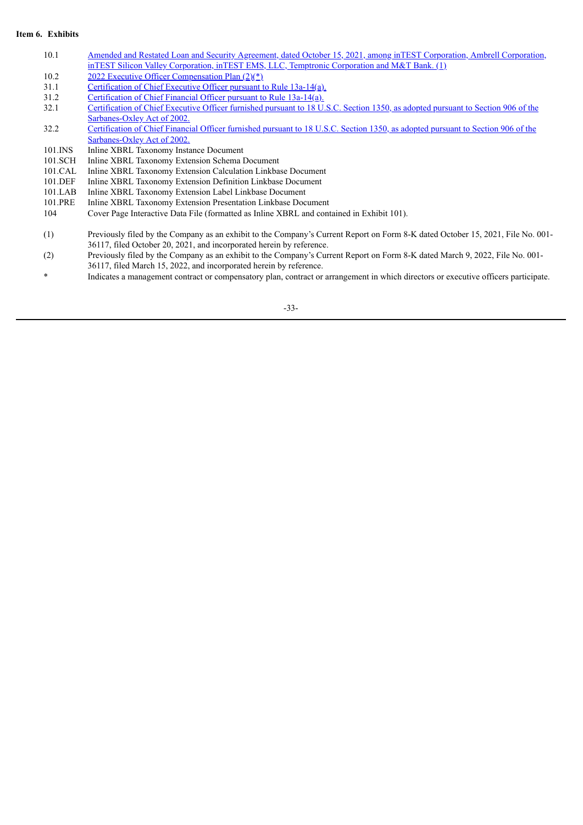## **Item 6. Exhibits**

- 10.1 Amended and Restated Loan and Security Agreement, dated October 15, 2021, among inTEST Corporation, Ambrell Corporation, inTEST Silicon Valley [Corporation,](http://www.sec.gov/Archives/edgar/data/1036262/000143774921023970/ex_292653.htm) inTEST EMS, LLC, Temptronic Corporation and M&T Bank. (1)
- 10.2 2022 Executive Officer [Compensation](http://www.sec.gov/Archives/edgar/data/1036262/000143774922006292/ex_347140.htm) Plan  $(2)(*)$
- 31.1 [Certification](#page-36-0) of Chief Executive Officer pursuant to Rule 13a-14(a).
- 31.2 [Certification](#page-37-0) of Chief Financial Officer pursuant to Rule 13a-14(a).
- 32.1 Certification of Chief Executive Officer furnished pursuant to 18 U.S.C. Section 1350, as adopted pursuant to Section 906 of the [Sarbanes-Oxley](#page-38-0) Act of 2002.
- 32.2 Certification of Chief Financial Officer furnished pursuant to 18 U.S.C. Section 1350, as adopted pursuant to Section 906 of the [Sarbanes-Oxley](#page-39-0) Act of 2002.
- 101.INS Inline XBRL Taxonomy Instance Document
- 101.SCH Inline XBRL Taxonomy Extension Schema Document
- 101.CAL Inline XBRL Taxonomy Extension Calculation Linkbase Document
- 101.DEF Inline XBRL Taxonomy Extension Definition Linkbase Document
- 101.LAB Inline XBRL Taxonomy Extension Label Linkbase Document
- 101.PRE Inline XBRL Taxonomy Extension Presentation Linkbase Document<br>104 Cover Page Interactive Data File (formatted as Inline XBRL and com
- 104 Cover Page Interactive Data File (formatted as Inline XBRL and contained in Exhibit 101).
- (1) Previously filed by the Company as an exhibit to the Company's Current Report on Form 8-K dated October 15, 2021, File No. 001- 36117, filed October 20, 2021, and incorporated herein by reference.
- (2) Previously filed by the Company as an exhibit to the Company's Current Report on Form 8-K dated March 9, 2022, File No. 001- 36117, filed March 15, 2022, and incorporated herein by reference.
- \* Indicates a management contract or compensatory plan, contract or arrangement in which directors or executive officers participate.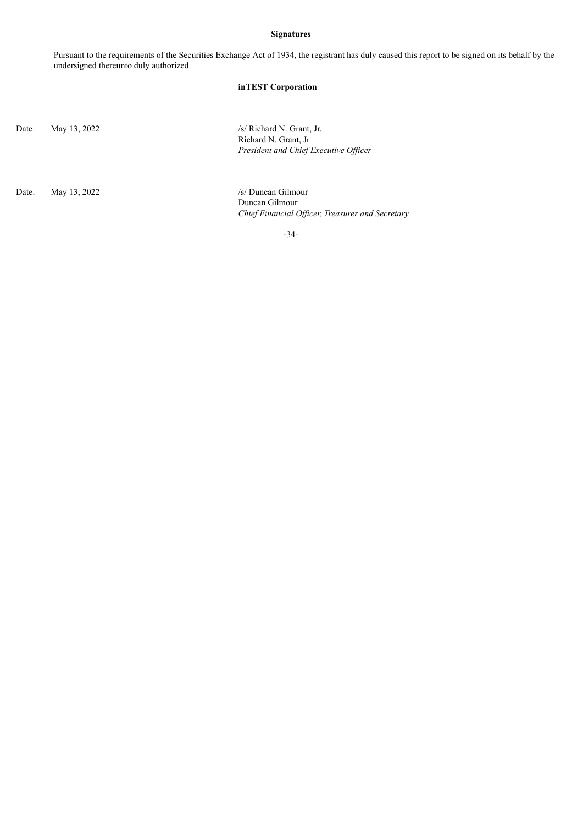## **Signatures**

Pursuant to the requirements of the Securities Exchange Act of 1934, the registrant has duly caused this report to be signed on its behalf by the undersigned thereunto duly authorized.

# **inTEST Corporation**

Date: <u>May 13, 2022</u> /s/ Richard N. Grant, Jr. Richard N. Grant, Jr. *President and Chief Executive Of icer*

Date: May 13, 2022 /s/ Duncan Gilmour

Duncan Gilmour *Chief Financial Of icer, Treasurer and Secretary*

-34-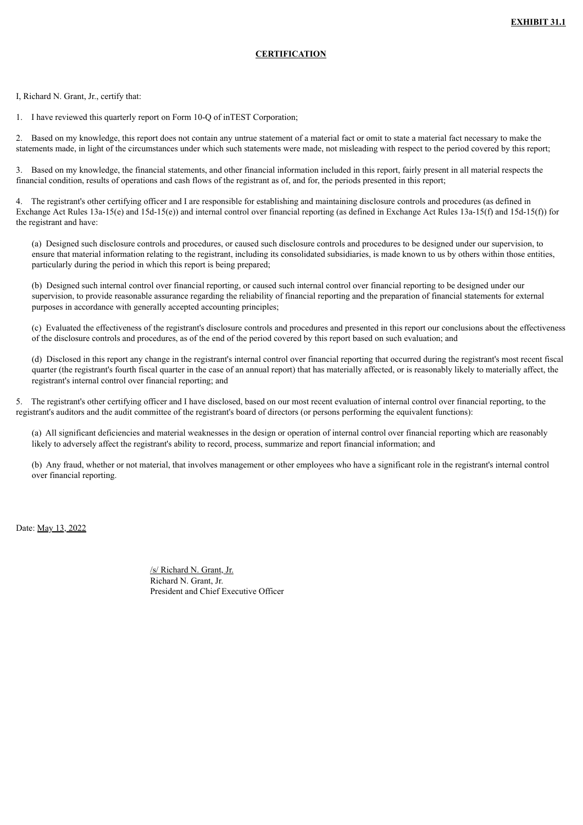# **CERTIFICATION**

<span id="page-36-0"></span>I, Richard N. Grant, Jr., certify that:

1. I have reviewed this quarterly report on Form 10-Q of inTEST Corporation;

2. Based on my knowledge, this report does not contain any untrue statement of a material fact or omit to state a material fact necessary to make the statements made, in light of the circumstances under which such statements were made, not misleading with respect to the period covered by this report;

3. Based on my knowledge, the financial statements, and other financial information included in this report, fairly present in all material respects the financial condition, results of operations and cash flows of the registrant as of, and for, the periods presented in this report;

4. The registrant's other certifying officer and I are responsible for establishing and maintaining disclosure controls and procedures (as defined in Exchange Act Rules 13a-15(e) and 15d-15(e)) and internal control over financial reporting (as defined in Exchange Act Rules 13a-15(f) and 15d-15(f)) for the registrant and have:

(a) Designed such disclosure controls and procedures, or caused such disclosure controls and procedures to be designed under our supervision, to ensure that material information relating to the registrant, including its consolidated subsidiaries, is made known to us by others within those entities, particularly during the period in which this report is being prepared;

(b) Designed such internal control over financial reporting, or caused such internal control over financial reporting to be designed under our supervision, to provide reasonable assurance regarding the reliability of financial reporting and the preparation of financial statements for external purposes in accordance with generally accepted accounting principles;

(c) Evaluated the effectiveness of the registrant's disclosure controls and procedures and presented in this report our conclusions about the effectiveness of the disclosure controls and procedures, as of the end of the period covered by this report based on such evaluation; and

(d) Disclosed in this report any change in the registrant's internal control over financial reporting that occurred during the registrant's most recent fiscal quarter (the registrant's fourth fiscal quarter in the case of an annual report) that has materially affected, or is reasonably likely to materially affect, the registrant's internal control over financial reporting; and

5. The registrant's other certifying officer and I have disclosed, based on our most recent evaluation of internal control over financial reporting, to the registrant's auditors and the audit committee of the registrant's board of directors (or persons performing the equivalent functions):

(a) All significant deficiencies and material weaknesses in the design or operation of internal control over financial reporting which are reasonably likely to adversely affect the registrant's ability to record, process, summarize and report financial information; and

(b) Any fraud, whether or not material, that involves management or other employees who have a significant role in the registrant's internal control over financial reporting.

Date: May 13, 2022

/s/ Richard N. Grant, Jr. Richard N. Grant, Jr. President and Chief Executive Officer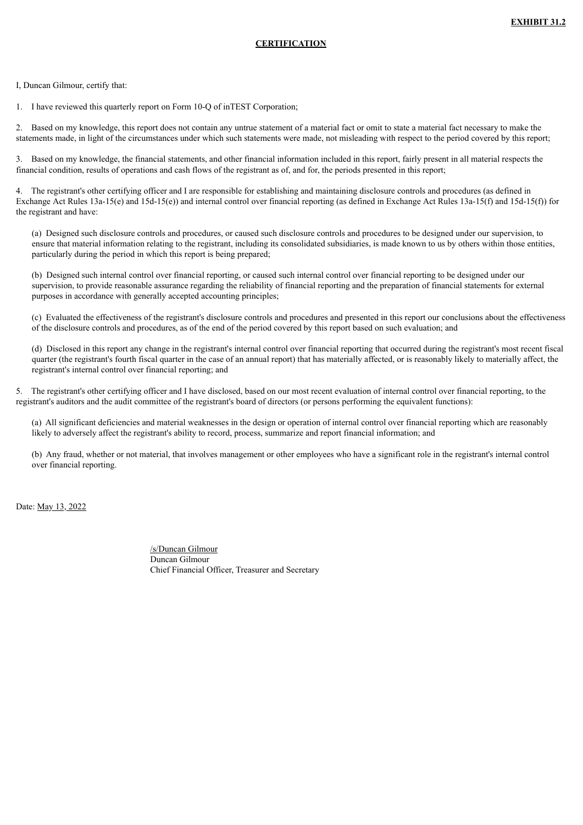# **CERTIFICATION**

<span id="page-37-0"></span>I, Duncan Gilmour, certify that:

1. I have reviewed this quarterly report on Form 10-Q of inTEST Corporation;

2. Based on my knowledge, this report does not contain any untrue statement of a material fact or omit to state a material fact necessary to make the statements made, in light of the circumstances under which such statements were made, not misleading with respect to the period covered by this report;

3. Based on my knowledge, the financial statements, and other financial information included in this report, fairly present in all material respects the financial condition, results of operations and cash flows of the registrant as of, and for, the periods presented in this report;

4. The registrant's other certifying officer and I are responsible for establishing and maintaining disclosure controls and procedures (as defined in Exchange Act Rules 13a-15(e) and 15d-15(e)) and internal control over financial reporting (as defined in Exchange Act Rules 13a-15(f) and 15d-15(f)) for the registrant and have:

(a) Designed such disclosure controls and procedures, or caused such disclosure controls and procedures to be designed under our supervision, to ensure that material information relating to the registrant, including its consolidated subsidiaries, is made known to us by others within those entities, particularly during the period in which this report is being prepared;

(b) Designed such internal control over financial reporting, or caused such internal control over financial reporting to be designed under our supervision, to provide reasonable assurance regarding the reliability of financial reporting and the preparation of financial statements for external purposes in accordance with generally accepted accounting principles;

(c) Evaluated the effectiveness of the registrant's disclosure controls and procedures and presented in this report our conclusions about the effectiveness of the disclosure controls and procedures, as of the end of the period covered by this report based on such evaluation; and

(d) Disclosed in this report any change in the registrant's internal control over financial reporting that occurred during the registrant's most recent fiscal quarter (the registrant's fourth fiscal quarter in the case of an annual report) that has materially affected, or is reasonably likely to materially affect, the registrant's internal control over financial reporting; and

5. The registrant's other certifying officer and I have disclosed, based on our most recent evaluation of internal control over financial reporting, to the registrant's auditors and the audit committee of the registrant's board of directors (or persons performing the equivalent functions):

(a) All significant deficiencies and material weaknesses in the design or operation of internal control over financial reporting which are reasonably likely to adversely affect the registrant's ability to record, process, summarize and report financial information; and

(b) Any fraud, whether or not material, that involves management or other employees who have a significant role in the registrant's internal control over financial reporting.

Date: May 13, 2022

/s/Duncan Gilmour Duncan Gilmour Chief Financial Officer, Treasurer and Secretary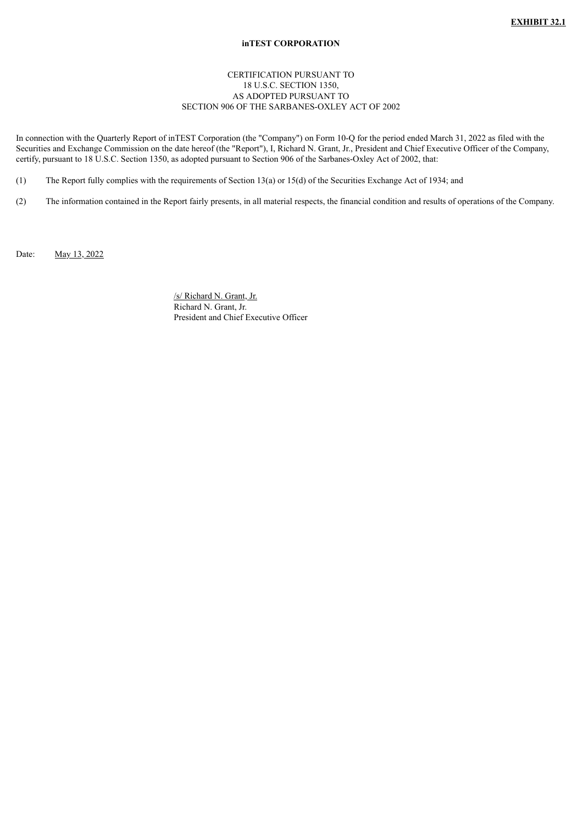## **inTEST CORPORATION**

# CERTIFICATION PURSUANT TO 18 U.S.C. SECTION 1350, AS ADOPTED PURSUANT TO SECTION 906 OF THE SARBANES-OXLEY ACT OF 2002

<span id="page-38-0"></span>In connection with the Quarterly Report of inTEST Corporation (the "Company") on Form 10-Q for the period ended March 31, 2022 as filed with the Securities and Exchange Commission on the date hereof (the "Report"), I, Richard N. Grant, Jr., President and Chief Executive Officer of the Company, certify, pursuant to 18 U.S.C. Section 1350, as adopted pursuant to Section 906 of the Sarbanes-Oxley Act of 2002, that:

(1) The Report fully complies with the requirements of Section 13(a) or 15(d) of the Securities Exchange Act of 1934; and

(2) The information contained in the Report fairly presents, in all material respects, the financial condition and results of operations of the Company.

Date: May 13, 2022

/s/ Richard N. Grant, Jr. Richard N. Grant, Jr. President and Chief Executive Officer